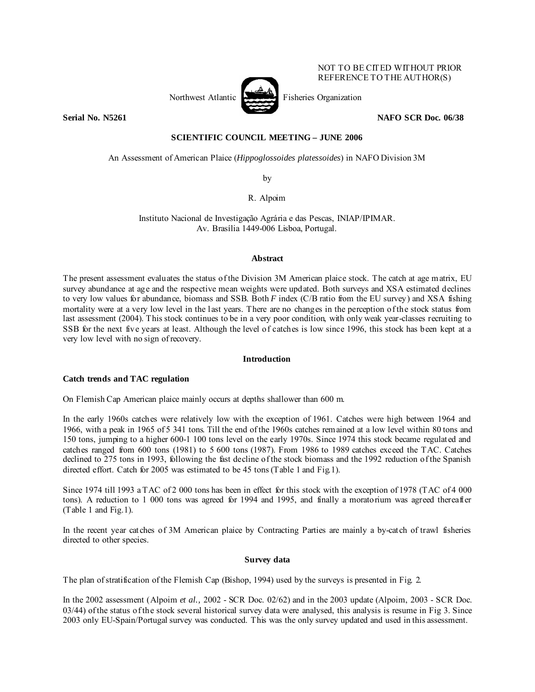

NOT TO BE CITED WITHOUT PRIOR REFERENCE TO THE AUTHOR(S)

# **Serial No. N5261** NAFO SCR Doc. 06/38

# **SCIENTIFIC COUNCIL MEETING – JUNE 2006**

An Assessment of American Plaice (*Hippoglossoides platessoides*) in NAFO Division 3M

by

R. Alpoim

Instituto Nacional de Investigação Agrária e das Pescas, INIAP/IPIMAR. Av. Brasília 1449-006 Lisboa, Portugal.

### **Abstract**

The present assessment evaluates the status of the Division 3M American plaice stock. The catch at age matrix, EU survey abundance at age and the respective mean weights were updated. Both surveys and XSA estimated declines to very low values for abundance, biomass and SSB. Both *F* index (C/B ratio from the EU survey) and XSA fishing mortality were at a very low level in the last years. There are no changes in the perception of the stock status from last assessment (2004). This stock continues to be in a very poor condition, with only weak year-classes recruiting to SSB for the next five years at least. Although the level of catches is low since 1996, this stock has been kept at a very low level with no sign of recovery.

### **Introduction**

# **Catch trends and TAC regulation**

On Flemish Cap American plaice mainly occurs at depths shallower than 600 m.

In the early 1960s catches were relatively low with the exception of 1961. Catches were high between 1964 and 1966, with a peak in 1965 of 5 341 tons. Till the end of the 1960s catches remained at a low level within 80 tons and 150 tons, jumping to a higher 600-1 100 tons level on the early 1970s. Since 1974 this stock became regulated and catches ranged from 600 tons (1981) to 5 600 tons (1987). From 1986 to 1989 catches exceed the TAC. Catches declined to 275 tons in 1993, following the fast decline of the stock biomass and the 1992 reduction of the Spanish directed effort. Catch for 2005 was estimated to be 45 tons (Table 1 and Fig.1).

Since 1974 till 1993 a TAC of 2 000 tons has been in effect for this stock with the exception of 1978 (TAC of 4 000 tons). A reduction to 1 000 tons was agreed for 1994 and 1995, and finally a moratorium was agreed thereafter (Table 1 and Fig.1).

In the recent year catches of 3M American plaice by Contracting Parties are mainly a by-catch of trawl fisheries directed to other species.

# **Survey data**

The plan of stratification of the Flemish Cap (Bishop, 1994) used by the surveys is presented in Fig. 2.

In the 2002 assessment (Alpoim *et al.,* 2002 - SCR Doc. 02/62) and in the 2003 update (Alpoim, 2003 - SCR Doc. 03/44) of the status of the stock several historical survey data were analysed, this analysis is resume in Fig 3. Since 2003 only EU-Spain/Portugal survey was conducted. This was the only survey updated and used in this assessment.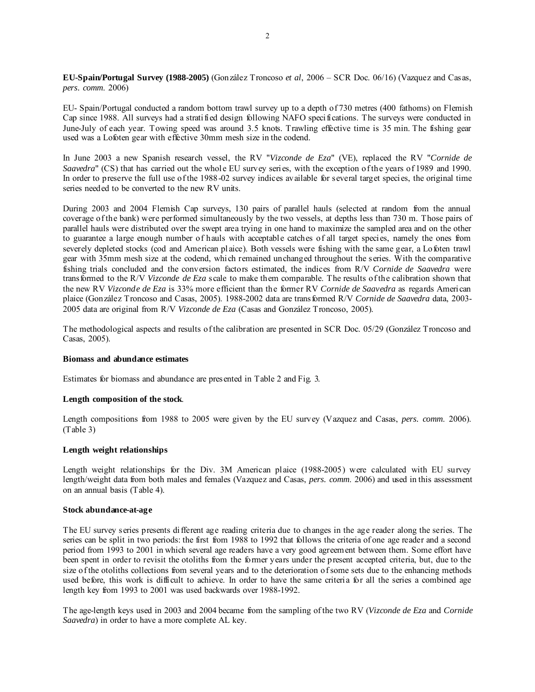**EU-Spain/Portugal Survey (1988-2005)** (González Troncoso *et al*, 2006 – SCR Doc. 06/16) (Vazquez and Casas, *pers. comm*. 2006)

EU- Spain/Portugal conducted a random bottom trawl survey up to a depth of 730 metres (400 fathoms) on Flemish Cap since 1988. All surveys had a stratified design following NAFO specifications. The surveys were conducted in June-July of each year. Towing speed was around 3.5 knots. Trawling effective time is 35 min. The fishing gear used was a Lofoten gear with effective 30mm mesh size in the codend.

In June 2003 a new Spanish research vessel, the RV "*Vizconde de Eza*" (VE), replaced the RV "*Cornide de Saavedra*" (CS) that has carried out the whole EU survey series, with the exception of the years of 1989 and 1990. In order to preserve the full use of the 1988-02 survey indices available for several target species, the original time series needed to be converted to the new RV units.

During 2003 and 2004 Flemish Cap surveys, 130 pairs of parallel hauls (selected at random from the annual coverage of the bank) were performed simultaneously by the two vessels, at depths less than 730 m. Those pairs of parallel hauls were distributed over the swept area trying in one hand to maximize the sampled area and on the other to guarantee a large enough number of hauls with acceptable catches of all target species, namely the ones from severely depleted stocks (cod and American plaice). Both vessels were fishing with the same gear, a Lofoten trawl gear with 35mm mesh size at the codend, which remained unchanged throughout the series. With the comparative fishing trials concluded and the conversion factors estimated, the indices from R/V *Cornide de Saavedra* were transformed to the R/V *Vizconde de Eza* scale to make them comparable. The results of the calibration shown that the new RV *Vizconde de Eza* is 33% more efficient than the former RV *Cornide de Saavedra* as regards American plaice (González Troncoso and Casas, 2005). 1988-2002 data are transformed R/V *Cornide de Saavedra* data, 2003- 2005 data are original from R/V *Vizconde de Eza* (Casas and González Troncoso, 2005).

The methodological aspects and results of the calibration are presented in SCR Doc. 05/29 (González Troncoso and Casas, 2005).

#### **Biomass and abundance estimates**

Estimates for biomass and abundance are presented in Table 2 and Fig. 3.

# **Length composition of the stock**.

Length compositions from 1988 to 2005 were given by the EU survey (Vazquez and Casas, *pers. comm*. 2006). (Table 3)

#### **Length weight relationships**

Length weight relationships for the Div. 3M American plaice (1988-2005) were calculated with EU survey length/weight data from both males and females (Vazquez and Casas, *pers. comm*. 2006) and used in this assessment on an annual basis (Table 4).

### **Stock abundance-at-age**

The EU survey series presents different age reading criteria due to changes in the age reader along the series. The series can be split in two periods: the first from 1988 to 1992 that follows the criteria of one age reader and a second period from 1993 to 2001 in which several age readers have a very good agreement between them. Some effort have been spent in order to revisit the otoliths from the former years under the present accepted criteria, but, due to the size of the otoliths collections from several years and to the deterioration of some sets due to the enhancing methods used before, this work is difficult to achieve. In order to have the same criteria for all the series a combined age length key from 1993 to 2001 was used backwards over 1988-1992.

The age-length keys used in 2003 and 2004 became from the sampling of the two RV (*Vizconde de Eza* and *Cornide Saavedra*) in order to have a more complete AL key.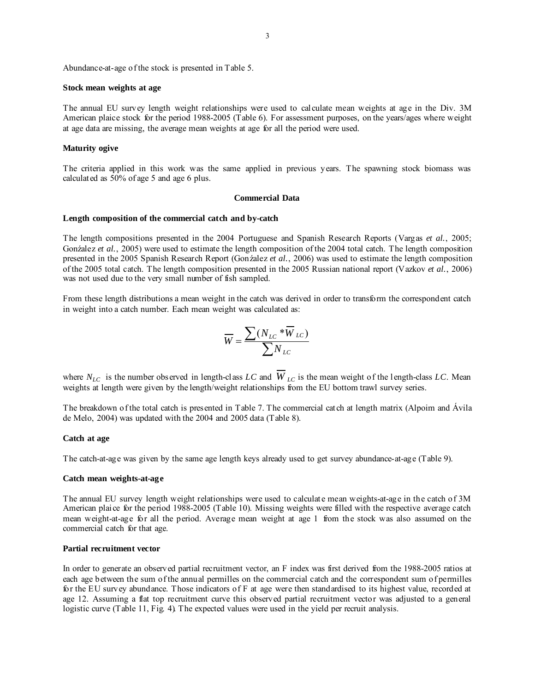Abundance-at-age of the stock is presented in Table 5.

#### **Stock mean weights at age**

The annual EU survey length weight relationships were used to calculate mean weights at age in the Div. 3M American plaice stock for the period 1988-2005 (Table 6). For assessment purposes, on the years/ages where weight at age data are missing, the average mean weights at age for all the period were used.

# **Maturity ogive**

The criteria applied in this work was the same applied in previous years. The spawning stock biomass was calculated as 50% of age 5 and age 6 plus.

#### **Commercial Data**

#### **Length composition of the commercial catch and by-catch**

The length compositions presented in the 2004 Portuguese and Spanish Research Reports (Vargas *et al.*, 2005; Gonźalez et al., 2005) were used to estimate the length composition of the 2004 total catch. The length composition presented in the 2005 Spanish Research Report (Gonźalez *et al.*, 2006) was used to estimate the length composition of the 2005 total catch. The length composition presented in the 2005 Russian national report (Vazkov *et al.*, 2006) was not used due to the very small number of fish sampled.

From these length distributions a mean weight in the catch was derived in order to transform the correspondent catch in weight into a catch number. Each mean weight was calculated as:

$$
\overline{W} = \frac{\sum (N_{LC} * \overline{W}_{LC})}{\sum N_{LC}}
$$

where  $N_{LC}$  is the number observed in length-class *LC* and  $W_{LC}$  is the mean weight of the length-class *LC*. Mean weights at length were given by the length/weight relationships from the EU bottom trawl survey series.

The breakdown of the total catch is presented in Table 7. The commercial catch at length matrix (Alpoim and Ávila de Melo, 2004) was updated with the 2004 and 2005 data (Table 8).

### **Catch at age**

The catch-at-age was given by the same age length keys already used to get survey abundance-at-age (Table 9).

#### **Catch mean weights-at-age**

The annual EU survey length weight relationships were used to calculate mean weights-at-age in the catch of 3M American plaice for the period 1988-2005 (Table 10). Missing weights were filled with the respective average catch mean weight-at-age for all the period. Average mean weight at age 1 from the stock was also assumed on the commercial catch for that age.

### **Partial recruitment vector**

In order to generate an observed partial recruitment vector, an F index was first derived from the 1988-2005 ratios at each age between the sum of the annual permilles on the commercial catch and the correspondent sum of permilles for the EU survey abundance. Those indicators of F at age were then standardised to its highest value, recorded at age 12. Assuming a flat top recruitment curve this observed partial recruitment vector was adjusted to a general logistic curve (Table 11, Fig. 4). The expected values were used in the yield per recruit analysis.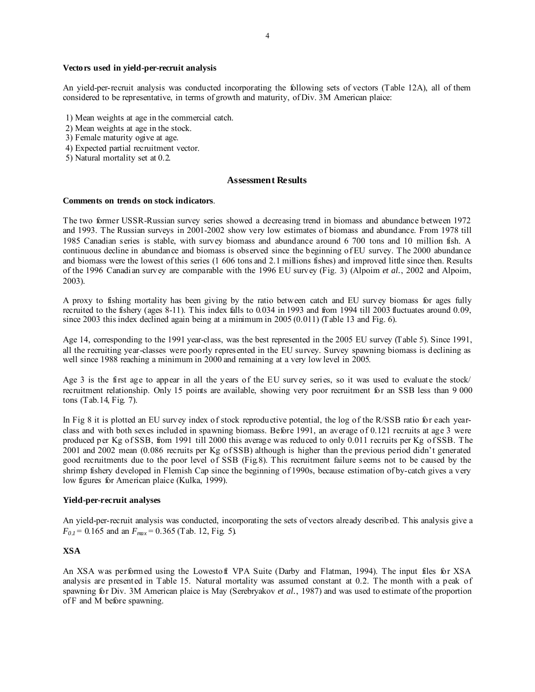### **Vectors used in yield-per-recruit analysis**

An yield-per-recruit analysis was conducted incorporating the following sets of vectors (Table 12A), all of them considered to be representative, in terms of growth and maturity, of Div. 3M American plaice:

- 1) Mean weights at age in the commercial catch.
- 2) Mean weights at age in the stock.
- 3) Female maturity ogive at age.
- 4) Expected partial recruitment vector.
- 5) Natural mortality set at 0.2.

### **Assessment Results**

#### **Comments on trends on stock indicators**.

The two former USSR-Russian survey series showed a decreasing trend in biomass and abundance between 1972 and 1993. The Russian surveys in 2001-2002 show very low estimates of biomass and abundance. From 1978 till 1985 Canadian series is stable, with survey biomass and abundance around 6 700 tons and 10 million fish. A continuous decline in abundance and biomass is observed since the beginning of EU survey. The 2000 abundance and biomass were the lowest of this series (1 606 tons and 2.1 millions fishes) and improved little since then. Results of the 1996 Canadian survey are comparable with the 1996 EU survey (Fig. 3) (Alpoim *et al.*, 2002 and Alpoim, 2003).

A proxy to fishing mortality has been giving by the ratio between catch and EU survey biomass for ages fully recruited to the fishery (ages 8-11). This index falls to 0.034 in 1993 and from 1994 till 2003 fluctuates around 0.09, since 2003 this index declined again being at a minimum in 2005 (0.011) (Table 13 and Fig. 6).

Age 14, corresponding to the 1991 year-class, was the best represented in the 2005 EU survey (Table 5). Since 1991, all the recruiting year-classes were poorly represented in the EU survey. Survey spawning biomass is declining as well since 1988 reaching a minimum in 2000 and remaining at a very low level in 2005.

Age 3 is the first age to appear in all the years of the EU survey series, so it was used to evaluate the stock/ recruitment relationship. Only 15 points are available, showing very poor recruitment for an SSB less than 9 000 tons (Tab.14, Fig. 7).

In Fig 8 it is plotted an EU survey index of stock reproductive potential, the log of the R/SSB ratio for each yearclass and with both sexes included in spawning biomass. Before 1991, an average of 0.121 recruits at age 3 were produced per Kg of SSB, from 1991 till 2000 this average was reduced to only 0.011 recruits per Kg of SSB. The 2001 and 2002 mean (0.086 recruits per Kg of SSB) although is higher than the previous period didn't generated good recruitments due to the poor level of SSB (Fig.8). This recruitment failure seems not to be caused by the shrimp fishery developed in Flemish Cap since the beginning of 1990s, because estimation of by-catch gives a very low figures for American plaice (Kulka, 1999).

#### **Yield-per-recruit analyses**

An yield-per-recruit analysis was conducted, incorporating the sets of vectors already described. This analysis give a  $F_{0,I}$  = 0.165 and an  $F_{max}$  = 0.365 (Tab. 12, Fig. 5).

### **XSA**

An XSA was performed using the Lowestoft VPA Suite (Darby and Flatman, 1994). The input files for XSA analysis are presented in Table 15. Natural mortality was assumed constant at 0.2. The month with a peak of spawning for Div. 3M American plaice is May (Serebryakov *et al.*, 1987) and was used to estimate of the proportion of F and M before spawning.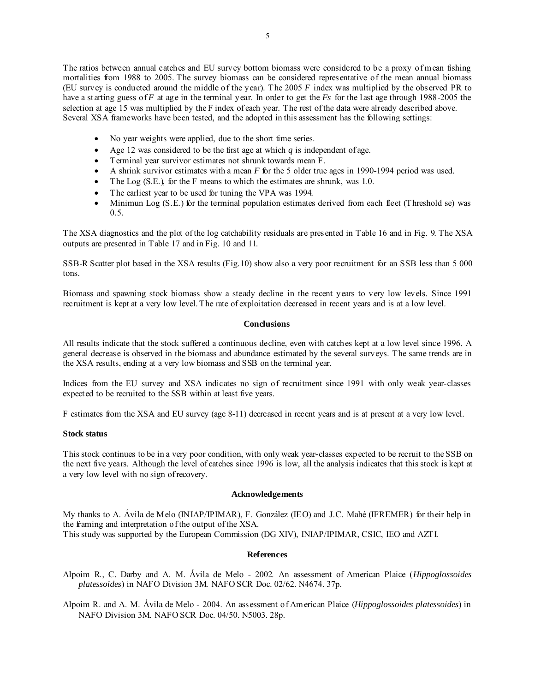The ratios between annual catches and EU survey bottom biomass were considered to be a proxy of mean fishing mortalities from 1988 to 2005. The survey biomass can be considered representative of the mean annual biomass (EU survey is conducted around the middle of the year). The 2005 *F* index was multiplied by the observed PR to have a starting guess of *F* at age in the terminal year. In order to get the *Fs* for the last age through 1988-2005 the selection at age 15 was multiplied by the F index of each year. The rest of the data were already described above. Several XSA frameworks have been tested, and the adopted in this assessment has the following settings:

- No year weights were applied, due to the short time series.
- Age 12 was considered to be the first age at which *q* is independent of age.
- Terminal year survivor estimates not shrunk towards mean F.
- A shrink survivor estimates with a mean *F* for the 5 older true ages in 1990-1994 period was used.
- The Log  $(S.E.)$  for the F means to which the estimates are shrunk, was 1.0.
- The earliest year to be used for tuning the VPA was 1994.
- Minimun Log (S.E.) for the terminal population estimates derived from each fleet (Threshold se) was  $0.5.$

The XSA diagnostics and the plot of the log catchability residuals are presented in Table 16 and in Fig. 9. The XSA outputs are presented in Table 17 and in Fig. 10 and 11.

SSB-R Scatter plot based in the XSA results (Fig.10) show also a very poor recruitment for an SSB less than 5 000 tons.

Biomass and spawning stock biomass show a steady decline in the recent years to very low levels. Since 1991 recruitment is kept at a very low level. The rate of exploitation decreased in recent years and is at a low level.

## **Conclusions**

All results indicate that the stock suffered a continuous decline, even with catches kept at a low level since 1996. A general decrease is observed in the biomass and abundance estimated by the several surveys. The same trends are in the XSA results, ending at a very low biomass and SSB on the terminal year.

Indices from the EU survey and XSA indicates no sign of recruitment since 1991 with only weak year-classes expected to be recruited to the SSB within at least five years.

F estimates from the XSA and EU survey (age 8-11) decreased in recent years and is at present at a very low level.

## **Stock status**

This stock continues to be in a very poor condition, with only weak year-classes expected to be recruit to the SSB on the next five years. Although the level of catches since 1996 is low, all the analysis indicates that this stock is kept at a very low level with no sign of recovery.

### **Acknowledgements**

My thanks to A. Ávila de Melo (INIAP/IPIMAR), F. González (IEO) and J.C. Mahé (IFREMER) for their help in the framing and interpretation of the output of the XSA. This study was supported by the European Commission (DG XIV), INIAP/IPIMAR, CSIC, IEO and AZTI.

# **References**

Alpoim R., C. Darby and A. M. Ávila de Melo - 2002. An assessment of American Plaice (*Hippoglossoides platessoides*) in NAFO Division 3M. NAFO SCR Doc. 02/62. N4674. 37p.

Alpoim R. and A. M. Ávila de Melo - 2004. An assessment of American Plaice (*Hippoglossoides platessoides*) in NAFO Division 3M. NAFO SCR Doc. 04/50. N5003. 28p.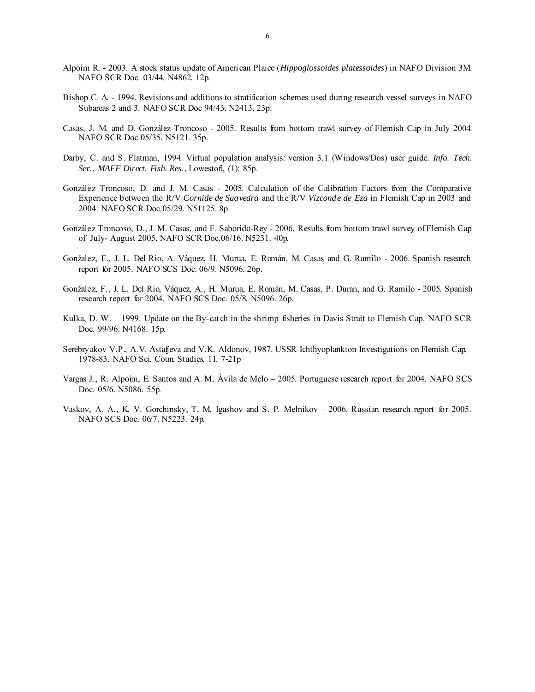- Alpoim R. 2003. A stock status update of American Plaice (*Hippoglossoides platessoides*) in NAFO Division 3M. NAFO SCR Doc. 03/44. N4862. 12p.
- Bishop C. A. 1994. Revisions and additions to stratification schemes used during research vessel surveys in NAFO Subareas 2 and 3. NAFO SCR Doc 94/43. N2413, 23p.
- Casas, J. M. and D. González Troncoso 2005. Results from bottom trawl survey of Flemish Cap in July 2004. NAFO SCR Doc.05/35. N5121. 35p.
- Darby, C. and S. Flatman, 1994. Virtual population analysis: version 3.1 (Windows/Dos) user guide. *Info. Tech. Ser., MAFF Direct. Fish. Res*., Lowestoft, (1): 85p.
- González Troncoso, D. and J. M. Casas 2005. Calculation of the Calibration Factors from the Comparative Experience between the R/V *Cornide de Saavedra* and the R/V *Vizconde de Eza* in Flemish Cap in 2003 and 2004. NAFO SCR Doc.05/29. N51125. 8p.
- González Troncoso, D., J. M. Casas, and F. Saborido-Rey 2006. Results from bottom trawl survey of Flemish Cap of July- August 2005. NAFO SCR Doc.06/16. N5231. 40p.
- Gonźalez, F., J. L. Del Rio, A. Váquez, H. Murua, E. Román, M. Casas and G. Ramilo 2006. Spanish research report for 2005. NAFO SCS Doc. 06/9. N5096. 26p.
- Gonźalez, F., J. L. Del Rio, Váquez, A., H. Murua, E. Román, M. Casas, P. Duran, and G. Ramilo 2005. Spanish research report for 2004. NAFO SCS Doc. 05/8. N5096. 26p.
- Kulka, D. W. 1999. Update on the By-catch in the shrimp fisheries in Davis Strait to Flemish Cap. NAFO SCR Doc. 99/96. N4168. 15p.
- Serebryakov V.P., A.V. Astafjeva and V.K. Aldonov, 1987. USSR Ichthyoplankton Investigations on Flemish Cap, 1978-83. NAFO Sci. Coun. Studies, 11. 7-21p
- Vargas J., R. Alpoim, E. Santos and A. M. Ávila de Melo 2005. Portuguese research report for 2004. NAFO SCS Doc. 05/6. N5086. 55p.
- Vaskov, A. A., K. V. Gorchinsky, T. M. Igashov and S. P. Melnikov 2006. Russian research report for 2005. NAFO SCS Doc. 06/7. N5223. 24p.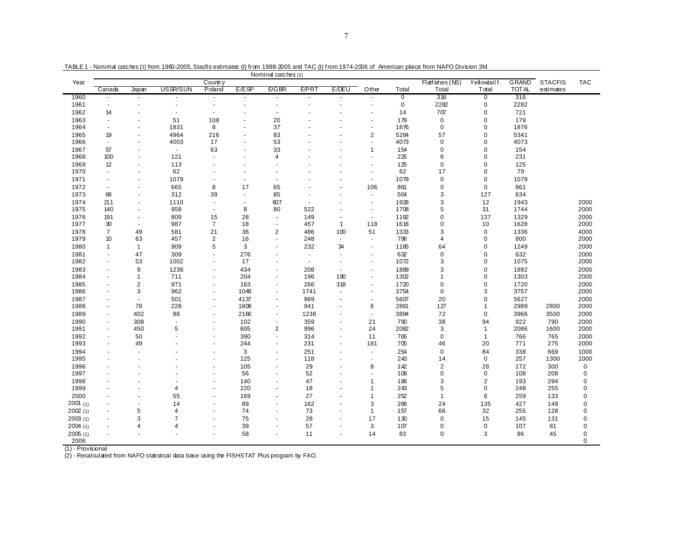|              |                          |                          |                      |                      |                | Nominal catches (2)      |                          |                          |                          |             |                  |              |              |                |             |
|--------------|--------------------------|--------------------------|----------------------|----------------------|----------------|--------------------------|--------------------------|--------------------------|--------------------------|-------------|------------------|--------------|--------------|----------------|-------------|
| Year         |                          |                          |                      | Country              |                |                          |                          |                          |                          |             | Flatfishes (NS)  | Yellowtailf. | <b>GRAND</b> | <b>STACFIS</b> | <b>TAC</b>  |
|              | Canada                   | Japan                    | USSR/SUN             | Poland               | E/ESP          | E/GBR                    | E/PRT                    | E/DEU                    | Other                    | Total       | Total            | Total        | <b>TOTAL</b> | estimates      |             |
| 1960         | $\sim$                   | $\sim$                   |                      | $\sim$               | $\sim$         | $\overline{a}$           | $\overline{a}$           | $\sim$                   | $\sim$                   | $\mathbf 0$ | 316              | $\mathbf 0$  | 316          |                |             |
| 1961         | $\sim$                   | $\blacksquare$           | ÷                    | $\sim$               | $\blacksquare$ | $\sim$                   | $\overline{\phantom{a}}$ | $\blacksquare$           | $\blacksquare$           | $\mathbf 0$ | 2282             | $\mathbf 0$  | 2282         |                |             |
| 1962         | 14                       |                          | $\ddot{\phantom{1}}$ | $\ddot{\phantom{1}}$ | $\sim$         | $\overline{a}$           |                          |                          | $\ddot{\phantom{1}}$     | 14          | 707              | $\mathbf 0$  | 721          |                |             |
| 1963         | $\blacksquare$           | ÷,                       | 51                   | 108                  | $\blacksquare$ | 20                       |                          |                          | ٠                        | 179         | $\mathbf 0$      | $\mathbf 0$  | 179          |                |             |
| 1964         | $\blacksquare$           |                          | 1831                 | 8                    | $\blacksquare$ | 37                       |                          |                          | $\ddot{\phantom{1}}$     | 1876        | $\mathbf 0$      | $\mathbf 0$  | 1876         |                |             |
| 1965         | 19                       | ä,                       | 4964                 | 216                  | ä,             | 83                       |                          |                          | $\overline{c}$           | 5284        | 57               | $\mathbf 0$  | 5341         |                |             |
| 1966         | $\sim$                   | $\ddot{\phantom{1}}$     | 4003                 | 17                   | $\blacksquare$ | 53                       |                          |                          | ÷.                       | 4073        | $\mathbf 0$      | $\mathbf 0$  | 4073         |                |             |
| 1967         | 57                       | $\blacksquare$           | $\sim$               | 63                   | $\blacksquare$ | 33                       |                          |                          | $\mathbf{1}$             | 154         | $\mathbf 0$      | $\mathbf 0$  | 154          |                |             |
| 1968         | 100                      | $\sim$                   | 121                  | ÷.                   | $\sim$         | $\overline{4}$           |                          |                          | $\overline{a}$           | 225         | 6                | 0            | 231          |                |             |
| 1969         | 12                       | $\overline{a}$           | 113                  | ä,                   | $\blacksquare$ |                          |                          |                          | $\blacksquare$           | 125         | $\mathbf 0$      | $\mathbf 0$  | 125          |                |             |
| 1970         | $\mathbf{r}$             | $\blacksquare$           | 62                   |                      | $\blacksquare$ | ÷                        |                          |                          | $\blacksquare$           | 62          | 17               | $\mathbf 0$  | 79           |                |             |
| 1971         | $\sim$                   | ä,                       | 1079                 | ÷,                   | ä,             | ÷,                       |                          |                          | $\sim$                   | 1079        | $\mathbf 0$      | $\mathbf 0$  | 1079         |                |             |
| 1972         | $\sim$                   | $\overline{\phantom{a}}$ | 665                  | 8                    | 17             | 65                       |                          |                          | 106                      | 861         | $\pmb{0}$        | $\mathbf 0$  | 861          |                |             |
| 1973         | 68                       | ä,                       | 312                  | 39                   | $\sim$         | 85                       | ä,                       |                          | $\blacksquare$           | 504         | 3                | 127          | 634          |                |             |
| 1974         | 211                      | ä,                       | 1110                 | ÷,                   | $\blacksquare$ | 607                      | ÷.                       |                          | $\blacksquare$           | 1928        | 3                | 12           | 1943         |                | 2000        |
| 1975         | 140                      | ä,                       | 958                  | ÷.                   | 8              | 80                       | 522                      |                          | $\blacksquare$           | 1708        | 5                | 31           | 1744         |                | 2000        |
| 1976         |                          | $\blacksquare$           |                      | 15                   | 28             | $\sim$                   |                          |                          | $\sim$                   | 1192        | $\mathbf 0$      | 137          | 1329         |                |             |
| 1977         | 191<br>$30\,$            | $\tilde{\phantom{a}}$    | 809<br>987           | $\overline{7}$       | 18             | ÷,                       | 149                      | $\mathbf{1}$             |                          | 1618        | $\mathbf 0$      |              | 1628         |                | 2000        |
|              |                          |                          |                      |                      |                |                          | 457                      |                          | 118                      |             |                  | 10           |              |                | 2000        |
| 1978         | $\overline{7}$           | 49                       | 581                  | 21                   | 36             | $\overline{2}$<br>$\sim$ | 486                      | 100                      | 51                       | 1333        | 3                | $\mathbf 0$  | 1336         |                | 4000        |
| 1979         | 10                       | 63                       | 457                  | $\overline{2}$       | 16             |                          | 248                      | $\blacksquare$           | $\overline{\phantom{a}}$ | 796         | 4                | $\mathbf 0$  | 800          |                | 2000        |
| 1980         | $\overline{1}$           | $\overline{1}$           | 909                  | 5                    | 3              | ä,                       | 232                      | 34                       | $\blacksquare$           | 1185        | 64               | $\mathbf 0$  | 1249         |                | 2000        |
| 1981         | $\sim$                   | 47                       | 309                  | ä,                   | 276            | $\overline{\phantom{a}}$ | $\blacksquare$           | $\blacksquare$           | $\blacksquare$           | 632         | $\mathbf 0$      | $\mathbf 0$  | 632          |                | 2000        |
| 1982         | $\sim$                   | 53                       | 1002                 | ä,                   | 17             | $\ddot{\phantom{1}}$     | ÷.                       |                          | $\blacksquare$           | 1072        | 3                | $\mathbf 0$  | 1075         |                | 2000        |
| 1983         | $\blacksquare$           | 9                        | 1238                 | ä,                   | 434            | $\overline{\phantom{a}}$ | 208                      | $\blacksquare$           | $\blacksquare$           | 1889        | 3                | $\mathbf 0$  | 1892         |                | 2000        |
| 1984         | $\blacksquare$           | $\mathbf{1}$             | 711                  | $\sim$               | 204            | ٠                        | 196                      | 190                      | $\blacksquare$           | 1302        | 1                | $\mathbf 0$  | 1303         |                | 2000        |
| 1985         | $\sim$                   | $\overline{2}$           | 971                  | $\sim$               | 163            | ä,                       | 266                      | 318                      | $\blacksquare$           | 1720        | $\mathbf 0$      | $\mathbf 0$  | 1720         |                | 2000        |
| 1986         | ä,                       | 3                        | 962                  | $\sim$               | 1048           | ä,                       | 1741                     | $\blacksquare$           | $\blacksquare$           | 3754        | $\mathbf 0$      | 3            | 3757         |                | 2000        |
| 1987         | $\blacksquare$           | $\blacksquare$           | 501                  | ٠                    | 4137           | $\overline{\phantom{a}}$ | 969                      | $\blacksquare$           | $\blacksquare$           | 5607        | 20               | $\mathbf 0$  | 5627         |                | 2000        |
| 1988         | $\blacksquare$           | 78                       | 228                  | ٠                    | 1608           | ä,                       | 941                      | $\blacksquare$           | 6                        | 2861        | 127              | $\mathbf{1}$ | 2989         | 2800           | 2000        |
| 1989         | $\blacksquare$           | 402                      | 88                   | ÷                    | 2166           | ÷,                       | 1238                     | $\overline{\phantom{a}}$ | $\blacksquare$           | 3894        | 72               | $\mathbf 0$  | 3966         | 3500           | 2000        |
| 1990         | $\blacksquare$           | 308                      | ÷,                   | ä,                   | 102            | $\overline{\phantom{a}}$ | 359                      | $\blacksquare$           | 21                       | 790         | 38               | 94           | 922          | 790            | 2000        |
| 1991         | $\sim$                   | 450                      | 5                    | $\sim$               | 605            | $\overline{2}$           | 996                      | $\blacksquare$           | 24                       | 2082        | 3                | $\mathbf{1}$ | 2086         | 1600           | 2000        |
| 1992         | $\sim$                   | 50                       |                      | ä,                   | 390            | ä,                       | 314                      | $\blacksquare$           | 11                       | 765         | $\mathbf 0$      | $\mathbf{1}$ | 766          | 765            | 2000        |
| 1993         | $\blacksquare$           | 49                       |                      | ä,                   | 244            | $\overline{\phantom{a}}$ | 231                      | $\blacksquare$           | 181                      | 705         | 46               | 20           | 771          | 275            | 2000        |
| 1994         | $\ddot{\phantom{1}}$     | ä,                       |                      | ä,                   | 3              | ÷,                       | 251                      | $\blacksquare$           | $\blacksquare$           | 254         | $\mathbf 0$      | 84           | 338          | 669            | 1000        |
| 1995         |                          | $\blacksquare$           |                      | ä,                   | 125            | ÷,                       | 118                      |                          | $\frac{1}{2}$            | 243         | 14               | $\mathbf 0$  | 257          | 1300           | 1000        |
| 1996         |                          |                          |                      | ä,                   | 105            | $\overline{\phantom{a}}$ | 29                       |                          | 8                        | 142         | $\boldsymbol{2}$ | 28           | 172          | 300            | $\mathbf 0$ |
| 1997         |                          | ÷.                       |                      | ä,                   | 56             | ä,                       | 52                       | $\overline{a}$           | $\blacksquare$           | 108         | $\mathbf 0$      | $\mathbf 0$  | 108          | 208            | 0           |
| 1998         |                          |                          | ٠                    | ä,                   | 140            | $\overline{\phantom{a}}$ | 47                       | $\blacksquare$           | -1                       | 188         | 3                | $\sqrt{2}$   | 193          | 294            | 0           |
| 1999         |                          | $\blacksquare$           | $\overline{4}$       | ä,                   | 220            | $\overline{\phantom{a}}$ | 18                       | $\sim$                   | 1                        | 243         | 5                | $\mathbf 0$  | 248          | 255            | 0           |
| 2000         |                          | ÷,                       | 55                   | ÷,                   | 169            | ÷,                       | 27                       | $\overline{\phantom{a}}$ | $\overline{1}$           | 252         | 1                | 6            | 259          | 133            | 0           |
| $2001_{(1)}$ |                          | ÷                        | 14                   |                      | 89             | ÷                        | 162                      |                          | 3                        | 268         | 24               | 135          | 427          | 149            | 0           |
| 2002(1)      | $\overline{\phantom{a}}$ | 5                        | $\overline{4}$       | ä,                   | 74             | ÷,                       | 73                       | $\overline{\phantom{a}}$ | $\mathbf 1$              | 157         | 66               | 32           | 255          | 128            | 0           |
| 2003(1)      | $\blacksquare$           | 3                        | $\overline{7}$       |                      | 75             | ä,                       | 28                       |                          | 17                       | 130         | $\mathbf 0$      | 15           | 145          | 131            | 0           |
| 2004(1)      | $\blacksquare$           | 4                        | $\overline{4}$       | ٠                    | 39             | $\overline{\phantom{a}}$ | 57                       | $\blacksquare$           | 3                        | 107         | $\pmb{0}$        | $\pmb{0}$    | 107          | 81             | 0           |
| 2005(1)      |                          | $\ddot{\phantom{1}}$     |                      |                      | 58             | $\ddot{\phantom{1}}$     | 11                       | $\sim$                   | 14                       | 83          | $\mathbf 0$      | 3            | 86           | 45             | 0           |
| 2006         |                          |                          |                      |                      |                |                          |                          |                          |                          |             |                  |              |              |                | 0           |

TABLE 1 - Nonimal catches (t) from 1960-2005, Stacfis estimates (t) from 1988-2005 and TAC (t) f rom 1974-2006 of American plaice from NAFO Division 3M.

(1) - Provisional (2) - Recalculated from NAFO statistical data base using the FISHSTAT Plus program by FAO.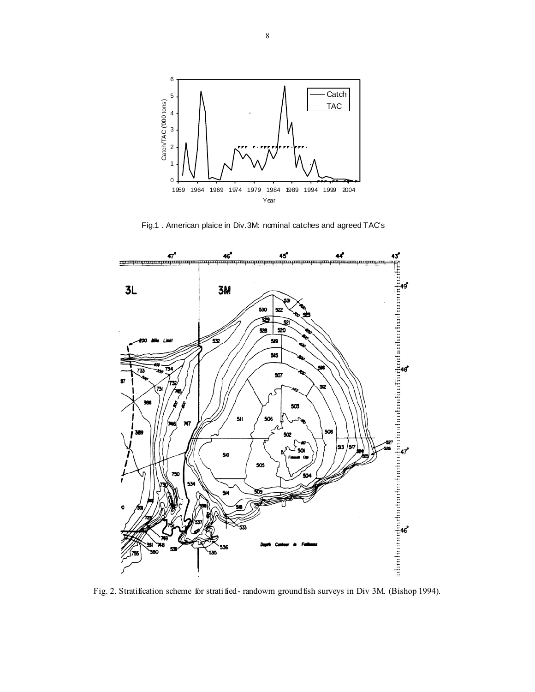

Fig.1 . American plaice in Div.3M: nominal catches and agreed TAC's



Fig. 2. Stratification scheme for stratified- randowm groundfish surveys in Div 3M. (Bishop 1994).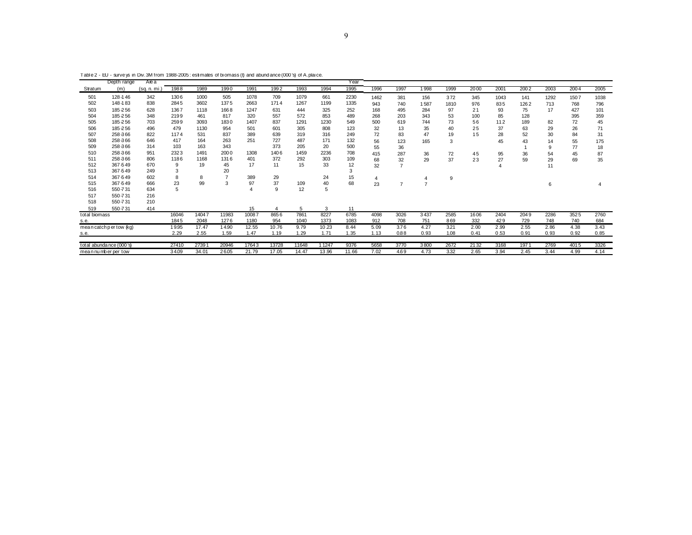Table 2 - EU - surve ys in Div.3M from 1988-2005 : estimates of biomass (t) and abund ance (000 's) of A.plai ce.

|                     | Depth range               | Area        |       |       |       |       |       |       |       | Year  |      |      |      |      |      |      |      |      |      |      |
|---------------------|---------------------------|-------------|-------|-------|-------|-------|-------|-------|-------|-------|------|------|------|------|------|------|------|------|------|------|
| Stratum             | (m)                       | (sq. n. mi. | 1988  | 1989  | 1990  | 1991  | 1992  | 1993  | 1994  | 1995  | 1996 | 1997 | 1998 | 1999 | 2000 | 2001 | 2002 | 2003 | 2004 | 2005 |
| 501                 | 128-146                   | 342         | 1306  | 1000  | 505   | 1078  | 709   | 1079  | 661   | 2230  | 1462 | 381  | 156  | 372  | 345  | 1043 | 141  | 1292 | 1507 | 1038 |
| 502                 | 148-183                   | 838         | 2845  | 3602  | 1375  | 2663  | 1714  | 1267  | 1199  | 1335  | 943  | 740  | 1587 | 1810 | 976  | 835  | 1262 | 713  | 768  | 796  |
| 503                 | 185-256                   | 628         | 1367  | 1118  | 1668  | 1247  | 631   | 444   | 325   | 252   | 168  | 495  | 284  | 97   | 21   | 93   | 75   | 17   | 427  | 101  |
| 504                 | 185-256                   | 348         | 2199  | 461   | 817   | 320   | 557   | 572   | 853   | 489   | 268  | 203  | 343  | 53   | 100  | 85   | 128  |      | 395  | 359  |
| 505                 | 185-256                   | 703         | 2599  | 3093  | 1830  | 1407  | 837   | 1291  | 1230  | 549   | 500  | 619  | 744  | 73   | 56   | 112  | 189  | 82   | 72   | 45   |
| 506                 | 185-256                   | 496         | 479   | 1130  | 954   | 501   | 601   | 305   | 808   | 123   | 32   | 13   | 35   | 40   | 25   | 37   | 63   | 29   | 26   | 71   |
| 507                 | 258 366                   | 822         | 1174  | 531   | 837   | 389   | 639   | 319   | 316   | 249   | 72   | 83   | 47   | 19   | 15   | 28   | 52   | 30   | 84   | 31   |
| 508                 | 258 366                   | 646         | 417   | 164   | 263   | 251   | 727   | 487   | 171   | 132   | 56   | 123  | 165  | 3    |      | 45   | 43   | 14   | 55   | 175  |
| 509                 | 258 366                   | 314         | 103   | 163   | 343   |       | 373   | 205   | 20    | 500   | 55   | 36   |      |      |      |      |      | 9    | 77   | 18   |
| 510                 | 258 366                   | 951         | 2323  | 1491  | 2000  | 1308  | 1406  | 1459  | 2236  | 708   | 415  | 287  | 36   | 72   | 45   | 95   | 36   | 54   | 45   | 87   |
| 511                 | 258 366                   | 806         | 1186  | 1168  | 1316  | 401   | 372   | 292   | 303   | 109   | 68   | 32   | 29   | 37   | 23   | 27   | 59   | 29   | 69   | 35   |
| 512                 | 367 549                   | 670         | 9     | 19    | 45    | 17    | 11    | 15    | 33    | 12    | 32   |      |      |      |      |      |      | 11   |      |      |
| 513                 | 367 549                   | 249         | 3     |       | 20    |       |       |       |       | 3     |      |      |      |      |      |      |      |      |      |      |
| 514                 | 367 549                   | 602         |       | 8     |       | 389   | 29    |       | 24    | 15    |      |      | 4    | 9    |      |      |      |      |      |      |
| 515                 | 367 549                   | 666         | 23    | 99    | 3     | 97    | 37    | 109   | 40    | 68    | 23   | 7    | 7    |      |      |      |      | 6    |      |      |
| 516                 | 550-731                   | 634         |       |       |       |       | 9     | 12    | 5     |       |      |      |      |      |      |      |      |      |      |      |
| 517                 | 550-731                   | 216         |       |       |       |       |       |       |       |       |      |      |      |      |      |      |      |      |      |      |
| 518                 | 550-731                   | 210         |       |       |       |       |       |       |       |       |      |      |      |      |      |      |      |      |      |      |
| 519                 | 550-731                   | 414         |       |       |       | 15    |       | 5     | 3     | 11    |      |      |      |      |      |      |      |      |      |      |
| total biomass       |                           |             | 16046 | 14047 | 11983 | 10087 | 8656  | 7861  | 8227  | 6785  | 4098 | 3026 | 3437 | 2585 | 1606 | 2404 | 2049 | 2286 | 3525 | 2760 |
| s.e.                |                           |             | 1845  | 2048  | 1276  | 1180  | 954   | 1040  | 1373  | 1083  | 912  | 708  | 751  | 869  | 332  | 429  | 729  | 748  | 740  | 684  |
|                     | mean catch per tow (kg)   |             | 19.95 | 17.47 | 14.90 | 12.55 | 10.76 | 9.79  | 10.23 | 8.44  | 5.09 | 3.76 | 4.27 | 3.21 | 2.00 | 2.99 | 2.55 | 2.86 | 4.38 | 3.43 |
| s.e.                |                           |             | 2.29  | 2.55  | 1.59  | 1.47  | 1.19  | 1.29  | 1.71  | 1.35  | 1.13 | 0.88 | 0.93 | 1.08 | 0.41 | 0.53 | 0.91 | 0.93 | 0.92 | 0.85 |
|                     |                           |             |       |       |       |       |       |       |       |       |      |      |      |      |      |      |      |      |      |      |
|                     | total abunda nce (000 's) |             | 27410 | 27391 | 20946 | 17643 | 13728 | 11648 | 11247 | 9376  | 5658 | 3770 | 3800 | 2672 | 2132 | 3168 | 1971 | 2769 | 4015 | 3326 |
| mean number per tow |                           |             | 34.09 | 34.01 | 26.05 | 21.79 | 17.05 | 14.47 | 13.96 | 11.66 | 7.02 | 4.69 | 4.73 | 3.32 | 2.65 | 3.94 | 2.45 | 3.44 | 4.99 | 4.14 |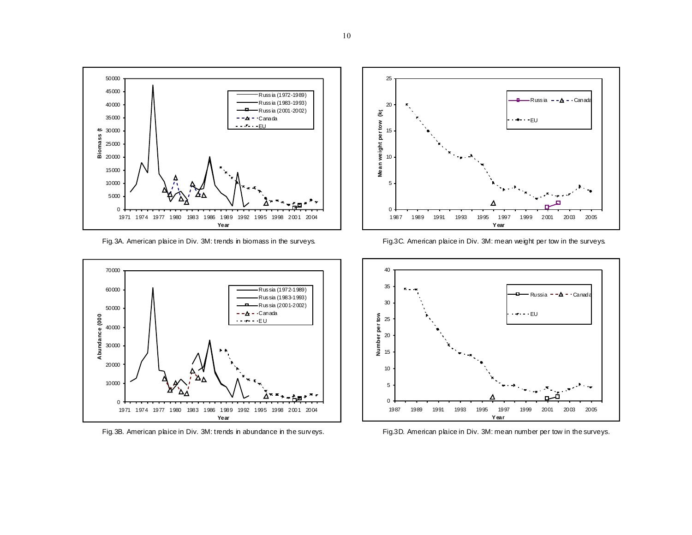

Fig.3A. American plaice in Div. 3M: trends in biomass in the surveys. Fig.3C. American plaice in Div. 3M: mean weight per tow in the surveys.







Fig. 3B. American plaice in Div. 3M: trends in abundance in the surveys. Fig.3D. American plaice in Div. 3M: mean number per tow in the surveys.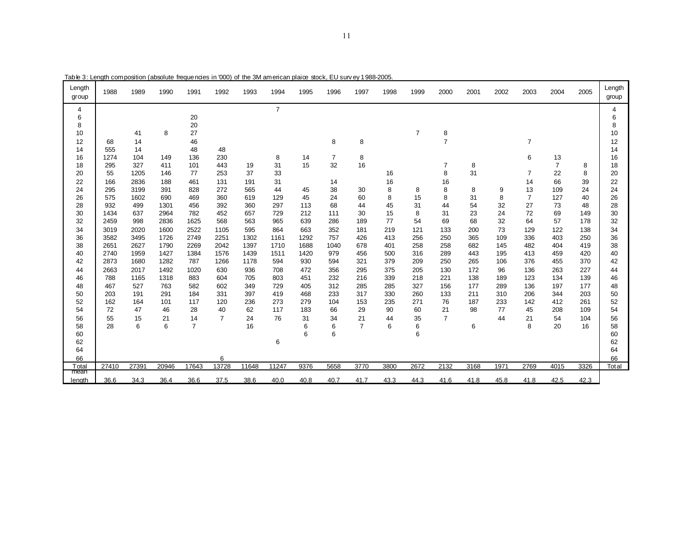| Length<br>group | 1988       | 1989         | 1990       | 1991           | 1992           | 1993       | 1994           | 1995     | 1996     | 1997           | 1998    | 1999           | 2000           | 2001    | 2002 | 2003           | 2004                 | 2005     | Length<br>group |
|-----------------|------------|--------------|------------|----------------|----------------|------------|----------------|----------|----------|----------------|---------|----------------|----------------|---------|------|----------------|----------------------|----------|-----------------|
| 4               |            |              |            |                |                |            | $\overline{7}$ |          |          |                |         |                |                |         |      |                |                      |          | 4               |
| 6               |            |              |            | 20             |                |            |                |          |          |                |         |                |                |         |      |                |                      |          | 6               |
| 8               |            |              |            | 20             |                |            |                |          |          |                |         |                |                |         |      |                |                      |          | 8               |
| 10              |            | 41           | 8          | 27             |                |            |                |          |          |                |         | $\overline{7}$ | 8              |         |      |                |                      |          | 10              |
| 12              | 68         | 14           |            | 46             |                |            |                |          | 8        | 8              |         |                | $\overline{7}$ |         |      | $\overline{7}$ |                      |          | 12              |
| 14              | 555        | 14           |            | 48             | 48             |            |                |          |          |                |         |                |                |         |      |                |                      |          | 14              |
| 16              | 1274       | 104<br>327   | 149        | 136            | 230            |            | 8              | 14<br>15 | 7        | 8              |         |                |                |         |      | 6              | 13<br>$\overline{7}$ |          | 16              |
| 18<br>20        | 295<br>55  | 1205         | 411<br>146 | 101<br>77      | 443<br>253     | 19<br>37   | 31<br>33       |          | 32       | 16             |         |                | 7<br>8         | 8<br>31 |      | $\overline{7}$ | 22                   | 8<br>8   | 18<br>20        |
|                 |            |              |            |                |                |            |                |          |          |                | 16      |                |                |         |      |                |                      |          |                 |
| 22<br>24        | 166<br>295 | 2836<br>3199 | 188<br>391 | 461<br>828     | 131<br>272     | 191<br>565 | 31<br>44       | 45       | 14<br>38 | 30             | 16<br>8 | 8              | 16<br>8        | 8       | 9    | 14<br>13       | 66<br>109            | 39<br>24 | 22<br>24        |
| 26              | 575        | 1602         | 690        | 469            | 360            | 619        | 129            | 45       | 24       | 60             | 8       | 15             | 8              | 31      | 8    | $\overline{7}$ | 127                  | 40       | 26              |
| 28              | 932        | 499          | 1301       | 456            | 392            | 360        | 297            | 113      | 68       | 44             | 45      | 31             | 44             | 54      | 32   | 27             | 73                   | 48       | 28              |
| 30              | 1434       | 637          | 2964       | 782            | 452            | 657        | 729            | 212      | 111      | 30             | 15      | 8              | 31             | 23      | 24   | 72             | 69                   | 149      | 30              |
| 32              | 2459       | 998          | 2836       | 1625           | 568            | 563        | 965            | 639      | 286      | 189            | 77      | 54             | 69             | 68      | 32   | 64             | 57                   | 178      | 32              |
| 34              | 3019       | 2020         | 1600       | 2522           | 1105           | 595        | 864            | 663      | 352      | 181            | 219     | 121            | 133            | 200     | 73   | 129            | 122                  | 138      | 34              |
| 36              | 3582       | 3495         | 1726       | 2749           | 2251           | 1302       | 1161           | 1292     | 757      | 426            | 413     | 256            | 250            | 365     | 109  | 336            | 403                  | 250      | 36              |
| 38              | 2651       | 2627         | 1790       | 2269           | 2042           | 1397       | 1710           | 1688     | 1040     | 678            | 401     | 258            | 258            | 682     | 145  | 482            | 404                  | 419      | 38              |
| 40              | 2740       | 1959         | 1427       | 1384           | 1576           | 1439       | 1511           | 1420     | 979      | 456            | 500     | 316            | 289            | 443     | 195  | 413            | 459                  | 420      | 40              |
| 42              | 2873       | 1680         | 1282       | 787            | 1266           | 1178       | 594            | 930      | 594      | 321            | 379     | 209            | 250            | 265     | 106  | 376            | 455                  | 370      | 42              |
| 44              | 2663       | 2017         | 1492       | 1020           | 630            | 936        | 708            | 472      | 356      | 295            | 375     | 205            | 130            | 172     | 96   | 136            | 263                  | 227      | 44              |
| 46              | 788        | 1165         | 1318       | 883            | 604            | 705        | 803            | 451      | 232      | 216            | 339     | 218            | 221            | 138     | 189  | 123            | 134                  | 139      | 46              |
| 48              | 467        | 527          | 763        | 582            | 602            | 349        | 729            | 405      | 312      | 285            | 285     | 327            | 156            | 177     | 289  | 136            | 197                  | 177      | 48              |
| 50              | 203        | 191          | 291        | 184            | 331            | 397        | 419            | 468      | 233      | 317            | 330     | 260            | 133            | 211     | 310  | 206            | 344                  | 203      | 50              |
| 52              | 162        | 164          | 101        | 117            | 120            | 236        | 273            | 279      | 104      | 153            | 235     | 271            | 76             | 187     | 233  | 142            | 412                  | 261      | 52              |
| 54              | 72         | 47           | 46         | 28             | 40             | 62         | 117            | 183      | 66       | 29             | 90      | 60             | 21             | 98      | 77   | 45             | 208                  | 109      | 54              |
| 56              | 55         | 15           | 21         | 14             | $\overline{7}$ | 24         | 76             | 31       | 34       | 21             | 44      | 35             | $\overline{7}$ |         | 44   | 21             | 54                   | 104      | 56              |
| 58              | 28         | 6            | 6          | $\overline{7}$ |                | 16         |                | 6        | 6        | $\overline{7}$ | 6       | 6              |                | 6       |      | 8              | 20                   | 16       | 58              |
| 60              |            |              |            |                |                |            |                | 6        | 6        |                |         | 6              |                |         |      |                |                      |          | 60              |
| 62<br>64        |            |              |            |                |                |            | 6              |          |          |                |         |                |                |         |      |                |                      |          | 62<br>64        |
| 66              |            |              |            |                | 6              |            |                |          |          |                |         |                |                |         |      |                |                      |          | 66              |
| Total           | 27410      | 27391        | 20946      | 17643          | 13728          | 11648      | 11247          | 9376     | 5658     | 3770           | 3800    | 2672           | 2132           | 3168    | 1971 | 2769           | 4015                 | 3326     | Total           |
| mean            |            |              |            |                |                |            |                |          |          |                |         |                |                |         |      |                |                      |          |                 |
| length          | 36.6       | 34.3         | 36.4       | 36.6           | 37.5           | 38.6       | 40.0           | 40.8     | 40.7     | 41.7           | 43.3    | 44.3           | 41.6           | 41.8    | 45.8 | 41.8           | 42.5                 | 42.3     |                 |

Table 3: Length composition (absolute frequencies in '000) of the 3M american plaice stock, EU surv ey 1988-2005.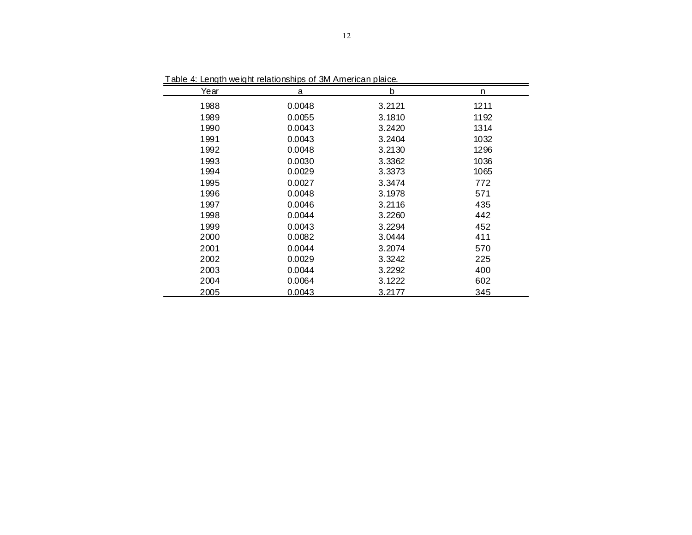| Year | <b>Table 4. Length Weight Telationships of JWI Anneheart planee.</b><br>a | b      | n    |
|------|---------------------------------------------------------------------------|--------|------|
| 1988 | 0.0048                                                                    | 3.2121 | 1211 |
| 1989 | 0.0055                                                                    | 3.1810 | 1192 |
| 1990 | 0.0043                                                                    | 3.2420 | 1314 |
| 1991 | 0.0043                                                                    | 3.2404 | 1032 |
| 1992 | 0.0048                                                                    | 3.2130 | 1296 |
| 1993 | 0.0030                                                                    | 3.3362 | 1036 |
| 1994 | 0.0029                                                                    | 3.3373 | 1065 |
| 1995 | 0.0027                                                                    | 3.3474 | 772  |
| 1996 | 0.0048                                                                    | 3.1978 | 571  |
| 1997 | 0.0046                                                                    | 3.2116 | 435  |
| 1998 | 0.0044                                                                    | 3.2260 | 442  |
| 1999 | 0.0043                                                                    | 3.2294 | 452  |
| 2000 | 0.0082                                                                    | 3.0444 | 411  |
| 2001 | 0.0044                                                                    | 3.2074 | 570  |
| 2002 | 0.0029                                                                    | 3.3242 | 225  |
| 2003 | 0.0044                                                                    | 3.2292 | 400  |
| 2004 | 0.0064                                                                    | 3.1222 | 602  |
| 2005 | 0.0043                                                                    | 3.2177 | 345  |

Table 4: Length weight relationships of 3M American plaice.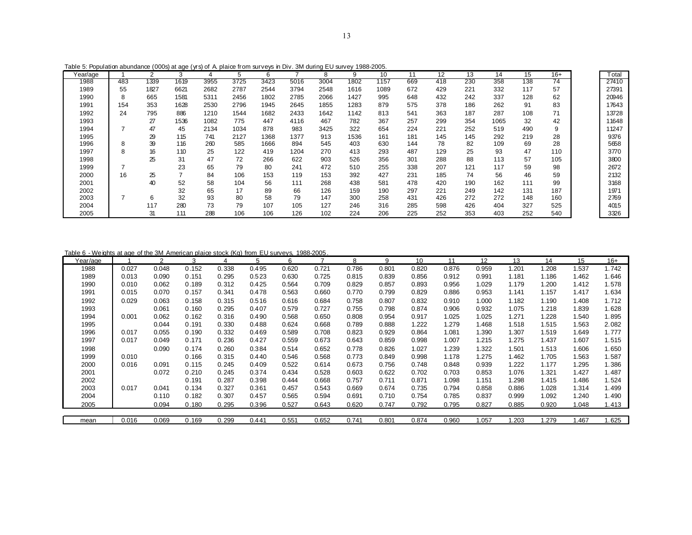|  |  |  |  |  | Table 5: Population abundance (000s) at age (yrs) of A plaice from surveys in Div. 3M during EU survey 1988-2005. |  |  |
|--|--|--|--|--|-------------------------------------------------------------------------------------------------------------------|--|--|
|--|--|--|--|--|-------------------------------------------------------------------------------------------------------------------|--|--|

| Year/age |     | 2    | 3    | 4    | 5    | 6    |      | 8    | 9    | 10   | 11  | $12 \overline{ }$ | 13  | 14   | 15  | $16+$           | Total |
|----------|-----|------|------|------|------|------|------|------|------|------|-----|-------------------|-----|------|-----|-----------------|-------|
| 1988     | 483 | 1339 | 1619 | 3955 | 3725 | 3423 | 5016 | 3004 | 1802 | 1157 | 669 | 418               | 230 | 358  | 138 | $\overline{74}$ | 27410 |
| 1989     | 55  | 1827 | 6621 | 2682 | 2787 | 2544 | 3794 | 2548 | 1616 | 1089 | 672 | 429               | 221 | 332  | 117 | 57              | 27391 |
| 1990     | 8   | 665  | 1581 | 5311 | 2456 | 1802 | 2785 | 2066 | 1427 | 995  | 648 | 432               | 242 | 337  | 128 | 62              | 20946 |
| 1991     | 154 | 353  | 1628 | 2530 | 2796 | 1945 | 2645 | 1855 | 1283 | 879  | 575 | 378               | 186 | 262  | 91  | 83              | 17643 |
| 1992     | 24  | 795  | 886  | 1210 | 1544 | 1682 | 2433 | 1642 | 1142 | 813  | 541 | 363               | 187 | 287  | 108 | 71              | 13728 |
| 1993     |     | 27   | 1536 | 1082 | 775  | 447  | 4116 | 467  | 782  | 367  | 257 | 299               | 354 | 1065 | 32  | 42              | 11648 |
| 1994     |     | 47   | 45   | 2134 | 1034 | 878  | 983  | 3425 | 322  | 654  | 224 | 221               | 252 | 519  | 490 | 9               | 11247 |
| 1995     |     | 29   | 115  | 741  | 2127 | 1368 | 1377 | 913  | 1536 | 161  | 181 | 145               | 145 | 292  | 219 | 28              | 9376  |
| 1996     | 8   | 39   | 116  | 260  | 585  | 1666 | 894  | 545  | 403  | 630  | 144 | 78                | 82  | 109  | 69  | 28              | 5658  |
| 1997     | 8   | 16   | 110  | 25   | 122  | 419  | 1204 | 270  | 413  | 293  | 487 | 129               | 25  | 93   | 47  | 110             | 3770  |
| 1998     |     | 25   | 31   | 47   | 72   | 266  | 622  | 903  | 526  | 356  | 301 | 288               | 88  | 113  | 57  | 105             | 3800  |
| 1999     |     |      | 23   | 65   | 79   | 80   | 241  | 472  | 510  | 255  | 338 | 207               | 121 | 117  | 59  | 98              | 2672  |
| 2000     | 16  | 25   |      | 84   | 106  | 153  | 119  | 153  | 392  | 427  | 231 | 185               | 74  | 56   | 46  | 59              | 2132  |
| 2001     |     | 40   | 52   | 58   | 104  | 56   | 111  | 268  | 438  | 581  | 478 | 420               | 190 | 162  | 111 | 99              | 3168  |
| 2002     |     |      | 32   | 65   | 17   | 89   | 66   | 126  | 159  | 190  | 297 | 221               | 249 | 142  | 131 | 187             | 1971  |
| 2003     |     | 6    | 32   | 93   | 80   | 58   | 79   | 147  | 300  | 258  | 431 | 426               | 272 | 272  | 148 | 160             | 2769  |
| 2004     |     | 117  | 280  | 73   | 79   | 107  | 105  | 127  | 246  | 316  | 285 | 598               | 426 | 404  | 327 | 525             | 4015  |
| 2005     |     | 31   | 111  | 288  | 106  | 106  | 126  | 102  | 224  | 206  | 225 | 252               | 353 | 403  | 252 | 540             | 3326  |

Table 6 - Weights at age of the 3M American plaice stock (Kg) from EU surveys, 1988-2005.

| Year/age |       | 2     | 3     | 4     | 5     | 6     |       | 8     | 9     | 10    | 11    | 12    | 13    | 14          | 15          | $16+$ |
|----------|-------|-------|-------|-------|-------|-------|-------|-------|-------|-------|-------|-------|-------|-------------|-------------|-------|
| 1988     | 0.027 | 0.048 | 0.152 | 0.338 | 0.495 | 0.620 | 0.721 | 0.786 | 0.801 | 0.820 | 0.876 | 0.959 | 1.201 | 1.208       | 1.537       | 1.742 |
| 1989     | 0.013 | 0.090 | 0.151 | 0.295 | 0.523 | 0.630 | 0.725 | 0.815 | 0.839 | 0.856 | 0.912 | 0.991 | 1.181 | 1.186       | 1.462       | 1.646 |
| 1990     | 0.010 | 0.062 | 0.189 | 0.312 | 0.425 | 0.564 | 0.709 | 0.829 | 0.857 | 0.893 | 0.956 | 1.029 | 1.179 | 1.200       | 1.412       | 1.578 |
| 1991     | 0.015 | 0.070 | 0.157 | 0.341 | 0.478 | 0.563 | 0.660 | 0.770 | 0.799 | 0.829 | 0.886 | 0.953 | 1.141 | 1.157       | 1.417       | 1.634 |
| 1992     | 0.029 | 0.063 | 0.158 | 0.315 | 0.516 | 0.616 | 0.684 | 0.758 | 0.807 | 0.832 | 0.910 | 1.000 | 1.182 | 1.190       | 1.408       | 1.712 |
| 1993     |       | 0.061 | 0.160 | 0.295 | 0.407 | 0.579 | 0.727 | 0.755 | 0.798 | 0.874 | 0.906 | 0.932 | 1.075 | 1.218       | 1.839       | 1.628 |
| 1994     | 0.001 | 0.062 | 0.162 | 0.316 | 0.490 | 0.568 | 0.650 | 0.808 | 0.954 | 0.917 | 1.025 | 1.025 | 1.271 | 1.228       | 1.540       | 1.895 |
| 1995     |       | 0.044 | 0.191 | 0.330 | 0.488 | 0.624 | 0.668 | 0.789 | 0.888 | 1.222 | 1.279 | 1.468 | 1.518 | <b>.515</b> | 1.563       | 2.082 |
| 1996     | 0.017 | 0.055 | 0.190 | 0.332 | 0.469 | 0.589 | 0.708 | 0.823 | 0.929 | 0.864 | 1.081 | 1.390 | 1.307 | 1.519       | 1.649       | 1.777 |
| 1997     | 0.017 | 0.049 | 0.171 | 0.236 | 0.427 | 0.559 | 0.673 | 0.643 | 0.859 | 0.998 | 1.007 | 1.215 | 1.275 | 1.437       | 1.607       | 1.515 |
| 1998     |       | 0.090 | 0.174 | 0.260 | 0.384 | 0.514 | 0.652 | 0.778 | 0.826 | 1.027 | 1.239 | 1.322 | 1.501 | 1.513       | 1.606       | 1.650 |
| 1999     | 0.010 |       | 0.166 | 0.315 | 0.440 | 0.546 | 0.568 | 0.773 | 0.849 | 0.998 | 1.178 | 1.275 | 1.462 | 1.705       | 1.563       | 1.587 |
| 2000     | 0.016 | 0.091 | 0.115 | 0.245 | 0.409 | 0.522 | 0.614 | 0.673 | 0.756 | 0.748 | 0.848 | 0.939 | 1.222 | 1.177       | 1.295       | 1.386 |
| 2001     |       | 0.072 | 0.210 | 0.245 | 0.374 | 0.434 | 0.528 | 0.603 | 0.622 | 0.702 | 0.703 | 0.853 | 1.076 | 1.321       | 1.427       | 1.487 |
| 2002     |       |       | 0.191 | 0.287 | 0.398 | 0.444 | 0.668 | 0.757 | 0.711 | 0.871 | 1.098 | 1.151 | 1.298 | 1.415       | 1.486       | 1.524 |
| 2003     | 0.017 | 0.041 | 0.134 | 0.327 | 0.361 | 0.457 | 0.543 | 0.669 | 0.674 | 0.735 | 0.794 | 0.858 | 0.886 | 1.028       | 1.314       | 1.499 |
| 2004     |       | 0.110 | 0.182 | 0.307 | 0.457 | 0.565 | 0.594 | 0.691 | 0.710 | 0.754 | 0.785 | 0.837 | 0.999 | 1.092       | 1.240       | 1.490 |
| 2005     |       | 0.094 | 0.180 | 0.295 | 0.396 | 0.527 | 0.643 | 0.620 | 0.747 | 0.792 | 0.795 | 0.827 | 0.885 | 0.920       | 1.048       | 1.413 |
|          |       |       |       |       |       |       |       |       |       |       |       |       |       |             |             |       |
| mean     | 0.016 | 0.069 | 0.169 | 0.299 | 0.441 | 0.551 | 0.652 | 0.741 | 0.801 | 0.874 | 0.960 | 1.057 | .203  | .279        | <b>.467</b> | .625  |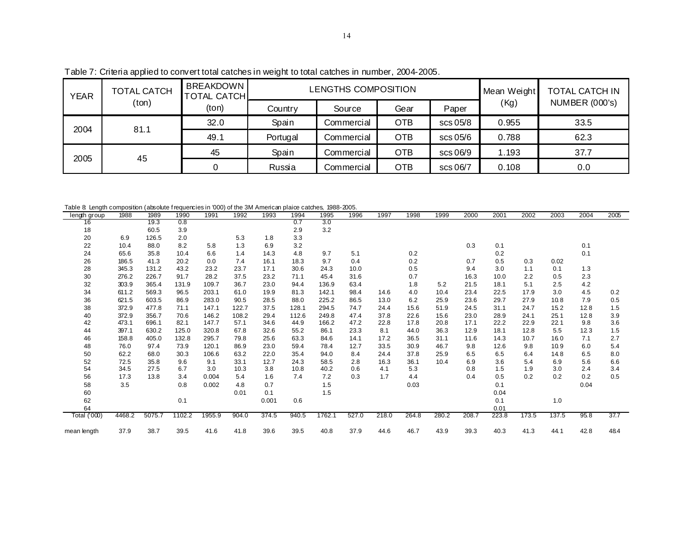| <b>YEAR</b> | <b>TOTAL CATCH</b> | <b>BREAKDOWN</b><br><b>TOTAL CATCHL</b> |          | LENGTHS COMPOSITION |            |          | Mean Weight | <b>TOTAL CATCH IN</b> |
|-------------|--------------------|-----------------------------------------|----------|---------------------|------------|----------|-------------|-----------------------|
|             | (ton)              | (ton)                                   | Country  | Source              | Gear       | Paper    | (Kg)        | <b>NUMBER (000's)</b> |
| 2004        | 81.1               | 32.0                                    | Spain    | Commercial          | <b>OTB</b> | scs 05/8 | 0.955       | 33.5                  |
|             |                    | 49.1                                    | Portugal | Commercial          | <b>OTB</b> | scs 05/6 | 0.788       | 62.3                  |
| 2005        | 45                 | 45                                      | Spain    | Commercial          | <b>OTB</b> | scs 06/9 | 1.193       | 37.7                  |
|             |                    |                                         | Russia   | Commercial          | <b>OTB</b> | scs 06/7 | 0.108       | 0.0                   |

Table 7: Criteria applied to convert total catches in weight to total catches in number, 2004-2005.

Table 8: Length composition (absolute f requencies in '000) of the 3M American plaice catches, 1988-2005.

| rable a Lengin composition (ausolute riequencies in 000) or the 3M American plane catules, 1900-2003. |        |        |        |        |       |       |       |        |       |       |       |       |       |       |       |       |      |      |
|-------------------------------------------------------------------------------------------------------|--------|--------|--------|--------|-------|-------|-------|--------|-------|-------|-------|-------|-------|-------|-------|-------|------|------|
| length group                                                                                          | 1988   | 1989   | 1990   | 1991   | 1992  | 1993  | 1994  | 1995   | 1996  | 1997  | 1998  | 1999  | 2000  | 2001  | 2002  | 2003  | 2004 | 2005 |
| 16                                                                                                    |        | 19.3   | 0.8    |        |       |       | 0.7   | 3.0    |       |       |       |       |       |       |       |       |      |      |
| 18                                                                                                    |        | 60.5   | 3.9    |        |       |       | 2.9   | 3.2    |       |       |       |       |       |       |       |       |      |      |
| 20                                                                                                    | 6.9    | 126.5  | 2.0    |        | 5.3   | 1.8   | 3.3   |        |       |       |       |       |       |       |       |       |      |      |
| 22                                                                                                    | 10.4   | 88.0   | 8.2    | 5.8    | 1.3   | 6.9   | 3.2   |        |       |       |       |       | 0.3   | 0.1   |       |       | 0.1  |      |
| 24                                                                                                    | 65.6   | 35.8   | 10.4   | 6.6    | 1.4   | 14.3  | 4.8   | 9.7    | 5.1   |       | 0.2   |       |       | 0.2   |       |       | 0.1  |      |
| 26                                                                                                    | 186.5  | 41.3   | 20.2   | 0.0    | 7.4   | 16.1  | 18.3  | 9.7    | 0.4   |       | 0.2   |       | 0.7   | 0.5   | 0.3   | 0.02  |      |      |
| 28                                                                                                    | 345.3  | 131.2  | 43.2   | 23.2   | 23.7  | 17.1  | 30.6  | 24.3   | 10.0  |       | 0.5   |       | 9.4   | 3.0   | 1.1   | 0.1   | 1.3  |      |
| 30                                                                                                    | 276.2  | 226.7  | 91.7   | 28.2   | 37.5  | 23.2  | 71.1  | 45.4   | 31.6  |       | 0.7   |       | 16.3  | 10.0  | 2.2   | 0.5   | 2.3  |      |
| 32                                                                                                    | 303.9  | 365.4  | 131.9  | 109.7  | 36.7  | 23.0  | 94.4  | 136.9  | 63.4  |       | 1.8   | 5.2   | 21.5  | 18.1  | 5.1   | 2.5   | 4.2  |      |
| 34                                                                                                    | 611.2  | 569.3  | 96.5   | 203.1  | 61.0  | 19.9  | 81.3  | 142.1  | 98.4  | 14.6  | 4.0   | 10.4  | 23.4  | 22.5  | 17.9  | 3.0   | 4.5  | 0.2  |
| 36                                                                                                    | 621.5  | 603.5  | 86.9   | 283.0  | 90.5  | 28.5  | 88.0  | 225.2  | 86.5  | 13.0  | 6.2   | 25.9  | 23.6  | 29.7  | 27.9  | 10.8  | 7.9  | 0.5  |
| 38                                                                                                    | 372.9  | 477.8  | 71.1   | 147.1  | 122.7 | 37.5  | 128.1 | 294.5  | 74.7  | 24.4  | 15.6  | 51.9  | 24.5  | 31.1  | 24.7  | 15.2  | 12.8 | 1.5  |
| 40                                                                                                    | 372.9  | 356.7  | 70.6   | 146.2  | 108.2 | 29.4  | 112.6 | 249.8  | 47.4  | 37.8  | 22.6  | 15.6  | 23.0  | 28.9  | 24.1  | 25.1  | 12.8 | 3.9  |
| 42                                                                                                    | 473.1  | 696.1  | 82.1   | 147.7  | 57.1  | 34.6  | 44.9  | 166.2  | 47.2  | 22.8  | 17.8  | 20.8  | 17.1  | 22.2  | 22.9  | 22.1  | 9.8  | 3.6  |
| 44                                                                                                    | 397.1  | 630.2  | 125.0  | 320.8  | 67.8  | 32.6  | 55.2  | 86.1   | 23.3  | 8.1   | 44.0  | 36.3  | 12.9  | 18.1  | 12.8  | 5.5   | 123  | 1.5  |
| 46                                                                                                    | 158.8  | 405.0  | 132.8  | 295.7  | 79.8  | 25.6  | 63.3  | 84.6   | 14.1  | 17.2  | 36.5  | 31.1  | 11.6  | 14.3  | 10.7  | 16.0  | 7.1  | 2.7  |
| 48                                                                                                    | 76.0   | 97.4   | 73.9   | 120.1  | 86.9  | 23.0  | 59.4  | 78.4   | 12.7  | 33.5  | 30.9  | 46.7  | 9.8   | 12.6  | 9.8   | 10.9  | 6.0  | 5.4  |
| 50                                                                                                    | 62.2   | 68.0   | 30.3   | 106.6  | 63.2  | 22.0  | 35.4  | 94.0   | 8.4   | 24.4  | 37.8  | 25.9  | 6.5   | 6.5   | 6.4   | 14.8  | 6.5  | 8.0  |
| 52                                                                                                    | 72.5   | 35.8   | 9.6    | 9.1    | 33.1  | 12.7  | 24.3  | 58.5   | 2.8   | 16.3  | 36.1  | 10.4  | 6.9   | 3.6   | 5.4   | 6.9   | 5.6  | 6.6  |
| 54                                                                                                    | 34.5   | 27.5   | 6.7    | 3.0    | 10.3  | 3.8   | 10.8  | 40.2   | 0.6   | 4.1   | 5.3   |       | 0.8   | 1.5   | 1.9   | 3.0   | 2.4  | 3.4  |
| 56                                                                                                    | 17.3   | 13.8   | 3.4    | 0.004  | 5.4   | 1.6   | 7.4   | 7.2    | 0.3   | 1.7   | 4.4   |       | 0.4   | 0.5   | 0.2   | 0.2   | 0.2  | 0.5  |
| 58                                                                                                    | 3.5    |        | 0.8    | 0.002  | 4.8   | 0.7   |       | 1.5    |       |       | 0.03  |       |       | 0.1   |       |       | 0.04 |      |
| 60                                                                                                    |        |        |        |        | 0.01  | 0.1   |       | 1.5    |       |       |       |       |       | 0.04  |       |       |      |      |
| 62                                                                                                    |        |        | 0.1    |        |       | 0.001 | 0.6   |        |       |       |       |       |       | 0.1   |       | 1.0   |      |      |
| 64                                                                                                    |        |        |        |        |       |       |       |        |       |       |       |       |       | 0.01  |       |       |      |      |
| Total ('000)                                                                                          | 4468.2 | 5075.7 | 1102.2 | 1955.9 | 904.0 | 374.5 | 940.5 | 1762.1 | 527.0 | 218.0 | 264.8 | 280.2 | 208.7 | 223.8 | 173.5 | 137.5 | 95.8 | 37.7 |
| mean length                                                                                           | 37.9   | 38.7   | 39.5   | 41.6   | 41.8  | 39.6  | 39.5  | 40.8   | 37.9  | 44.6  | 46.7  | 43.9  | 39.3  | 40.3  | 41.3  | 44.1  | 42.8 | 48.4 |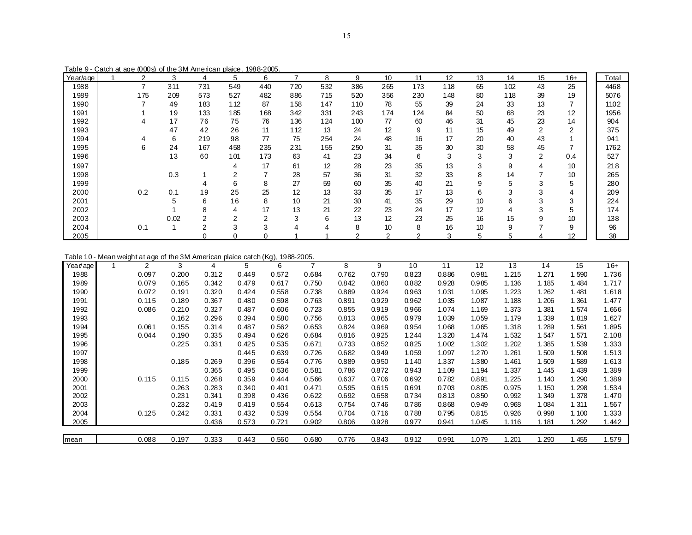Table 9 - Catch at age (000s) of the 3M American plaice, 1988-2005.

| Year/age | $\overline{2}$ | 3    | 4      | 5   | 6   |     | 8   | 9   | 10  | 11  | 12  | 13 | 14  | 15 | $16+$ | Total |
|----------|----------------|------|--------|-----|-----|-----|-----|-----|-----|-----|-----|----|-----|----|-------|-------|
| 1988     | 7              | 311  | 731    | 549 | 440 | 720 | 532 | 386 | 265 | 173 | 118 | 65 | 102 | 43 | 25    | 4468  |
| 1989     | 175            | 209  | 573    | 527 | 482 | 886 | 715 | 520 | 356 | 230 | 148 | 80 | 118 | 39 | 19    | 5076  |
| 1990     |                | 49   | 183    | 112 | 87  | 158 | 147 | 110 | 78  | 55  | 39  | 24 | 33  | 13 |       | 1102  |
| 1991     |                | 19   | 133    | 185 | 168 | 342 | 331 | 243 | 174 | 124 | 84  | 50 | 68  | 23 | 12    | 1956  |
| 1992     | 4              | 17   | 76     | 75  | 76  | 136 | 124 | 100 | 77  | 60  | 46  | 31 | 45  | 23 | 14    | 904   |
| 1993     |                | 47   | 42     | 26  | 11  | 112 | 13  | 24  | 12  | 9   | 11  | 15 | 49  | 2  | ົ     | 375   |
| 1994     |                | 6    | 219    | 98  | 77  | 75  | 254 | 24  | 48  | 16  | 17  | 20 | 40  | 43 |       | 941   |
| 1995     | 6              | 24   | 167    | 458 | 235 | 231 | 155 | 250 | 31  | 35  | 30  | 30 | 58  | 45 |       | 1762  |
| 1996     |                | 13   | 60     | 101 | 173 | 63  | 41  | 23  | 34  | 6   | 3   | 3  | 3   | 2  | 0.4   | 527   |
| 1997     |                |      |        |     | 17  | 61  | 12  | 28  | 23  | 35  | 13  | 3  | 9   |    | 10    | 218   |
| 1998     |                | 0.3  |        |     |     | 28  | 57  | 36  | 31  | 32  | 33  | 8  | 14  |    | 10    | 265   |
| 1999     |                |      |        | 6   | 8   | 27  | 59  | 60  | 35  | 40  | 21  | 9  | 5   | 3  | 5     | 280   |
| 2000     | 0.2            | 0.1  | 19     | 25  | 25  | 12  | 13  | 33  | 35  | 17  | 13  | 6  | 3   |    |       | 209   |
| 2001     |                |      | 6      | 16  | 8   | 10  | 21  | 30  | 41  | 35  | 29  | 10 | 6   |    | ົ     | 224   |
| 2002     |                |      | 8      | 4   | 17  | 13  | 21  | 22  | 23  | 24  | 17  | 12 | 4   | 3  |       | 174   |
| 2003     |                | 0.02 | $\sim$ | ⌒   | C   | 3   | 6   | 13  | 12  | 23  | 25  | 16 | 15  |    | 10    | 138   |
| 2004     | 0.1            |      | 2      | 3   | 3   |     |     | 8   | 10  | 8   | 16  | 10 | 9   |    | 9     | 96    |
| 2005     |                |      |        |     |     |     |     |     |     |     |     | 5  | :   |    | 12    | 38    |

Table 10 - Mean weight at age of the 3M American plaice catch (Kg), 1988-2005.

| Year/age | $\overline{2}$ | 3     | 4     | 5     | 6     | ⇁     | 8     | 9     | 10    | 11    | 12    | 13    | 14    | 15     | 16+   |
|----------|----------------|-------|-------|-------|-------|-------|-------|-------|-------|-------|-------|-------|-------|--------|-------|
| 1988     | 0.097          | 0.200 | 0.312 | 0.449 | 0.572 | 0.684 | 0.762 | 0.790 | 0.823 | 0.886 | 0.981 | 1.215 | 1.271 | 1.590  | 1.736 |
| 1989     | 0.079          | 0.165 | 0.342 | 0.479 | 0.617 | 0.750 | 0.842 | 0.860 | 0.882 | 0.928 | 0.985 | 1.136 | 1.185 | 1.484  | 1.717 |
| 1990     | 0.072          | 0.191 | 0.320 | 0.424 | 0.558 | 0.738 | 0.889 | 0.924 | 0.963 | 1.031 | 1.095 | 1.223 | 1.262 | 1.481  | 1.618 |
| 1991     | 0.115          | 0.189 | 0.367 | 0.480 | 0.598 | 0.763 | 0.891 | 0.929 | 0.962 | 1.035 | 1.087 | 1.188 | 1.206 | 1.361  | 1.477 |
| 1992     | 0.086          | 0.210 | 0.327 | 0.487 | 0.606 | 0.723 | 0.855 | 0.919 | 0.966 | 1.074 | 1.169 | 1.373 | 1.381 | 1.574  | 1.666 |
| 1993     |                | 0.162 | 0.296 | 0.394 | 0.580 | 0.756 | 0.813 | 0.865 | 0.979 | 1.039 | 1.059 | 1.179 | 1.339 | 1.819  | 1.627 |
| 1994     | 0.061          | 0.155 | 0.314 | 0.487 | 0.562 | 0.653 | 0.824 | 0.969 | 0.954 | 1.068 | 1.065 | 1.318 | 1.289 | 1.561  | 1.895 |
| 1995     | 0.044          | 0.190 | 0.335 | 0.494 | 0.626 | 0.684 | 0.816 | 0.925 | 1.244 | 1.320 | 1.474 | 1.532 | 1.547 | 1.571  | 2.108 |
| 1996     |                | 0.225 | 0.331 | 0.425 | 0.535 | 0.671 | 0.733 | 0.852 | 0.825 | 1.002 | 1.302 | 1.202 | 1.385 | 1.539  | 1.333 |
| 1997     |                |       |       | 0.445 | 0.639 | 0.726 | 0.682 | 0.949 | 1.059 | 1.097 | 1.270 | 1.261 | 1.509 | 1.508  | 1.513 |
| 1998     |                | 0.185 | 0.269 | 0.396 | 0.554 | 0.776 | 0.889 | 0.950 | 1.140 | 1.337 | 1.380 | 1.461 | 1.509 | 1.589  | 1.613 |
| 1999     |                |       | 0.365 | 0.495 | 0.536 | 0.581 | 0.786 | 0.872 | 0.943 | 1.109 | 1.194 | 1.337 | 1.445 | 1.439  | 1.389 |
| 2000     | 0.115          | 0.115 | 0.268 | 0.359 | 0.444 | 0.566 | 0.637 | 0.706 | 0.692 | 0.782 | 0.891 | 1.225 | 1.140 | 1.290  | 1.389 |
| 2001     |                | 0.263 | 0.283 | 0.340 | 0.401 | 0.471 | 0.595 | 0.615 | 0.691 | 0.703 | 0.805 | 0.975 | 1.150 | 1.298  | 1.534 |
| 2002     |                | 0.231 | 0.341 | 0.398 | 0.436 | 0.622 | 0.692 | 0.658 | 0.734 | 0.813 | 0.850 | 0.992 | 1.349 | 1.378  | 1.470 |
| 2003     |                | 0.232 | 0.419 | 0.419 | 0.554 | 0.613 | 0.754 | 0.746 | 0.786 | 0.868 | 0.949 | 0.968 | 1.084 | 1.311  | 1.567 |
| 2004     | 0.125          | 0.242 | 0.331 | 0.432 | 0.539 | 0.554 | 0.704 | 0.716 | 0.788 | 0.795 | 0.815 | 0.926 | 0.998 | 1.100  | 1.333 |
| 2005     |                |       | 0.436 | 0.573 | 0.721 | 0.902 | 0.806 | 0.928 | 0.977 | 0.941 | 1.045 | 1.116 | 1.181 | 1.292  | 1.442 |
|          |                |       |       |       |       |       |       |       |       |       |       |       |       |        |       |
| mean     | 0.088          | 0.197 | 0.333 | 0.443 | 0.560 | 0.680 | 0.776 | 0.843 | 0.912 | 0.991 | 1.079 | .201  | 1.290 | l. 455 | 1.579 |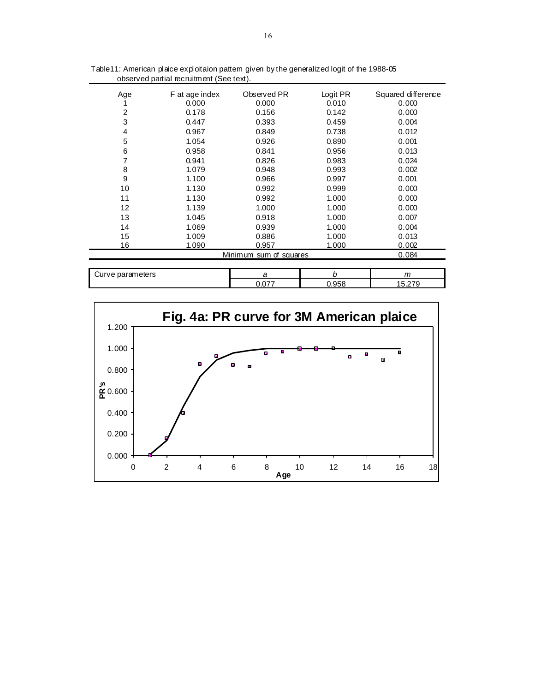| Age | F at age index | Observed PR            | Logit PR | Squared difference |
|-----|----------------|------------------------|----------|--------------------|
|     | 0.000          | 0.000                  | 0.010    | 0.000              |
| 2   | 0.178          | 0.156                  | 0.142    | 0.000              |
| 3   | 0.447          | 0.393                  | 0.459    | 0.004              |
| 4   | 0.967          | 0.849                  | 0.738    | 0.012              |
| 5   | 1.054          | 0.926                  | 0.890    | 0.001              |
| 6   | 0.958          | 0.841                  | 0.956    | 0.013              |
| 7   | 0.941          | 0.826                  | 0.983    | 0.024              |
| 8   | 1.079          | 0.948                  | 0.993    | 0.002              |
| 9   | 1.100          | 0.966                  | 0.997    | 0.001              |
| 10  | 1.130          | 0.992                  | 0.999    | 0.000              |
| 11  | 1.130          | 0.992                  | 1.000    | 0.000              |
| 12  | 1.139          | 1.000                  | 1.000    | 0.000              |
| 13  | 1.045          | 0.918                  | 1.000    | 0.007              |
| 14  | 1.069          | 0.939                  | 1.000    | 0.004              |
| 15  | 1.009          | 0.886                  | 1.000    | 0.013              |
| 16  | 1.090          | 0.957                  | 1.000    | 0.002              |
|     |                | Minimum sum of squares |          | 0.084              |
|     |                |                        |          |                    |

Table11: American plaice exploitaion pattern given by the generalized logit of the 1988-05 observed partial recruitment (See text).

| eters<br>. .<br>oui<br>ve |   | . .                  | m<br>,,, |
|---------------------------|---|----------------------|----------|
|                           | . | $\sim$ $\sim$ $\sim$ | $-$<br>. |

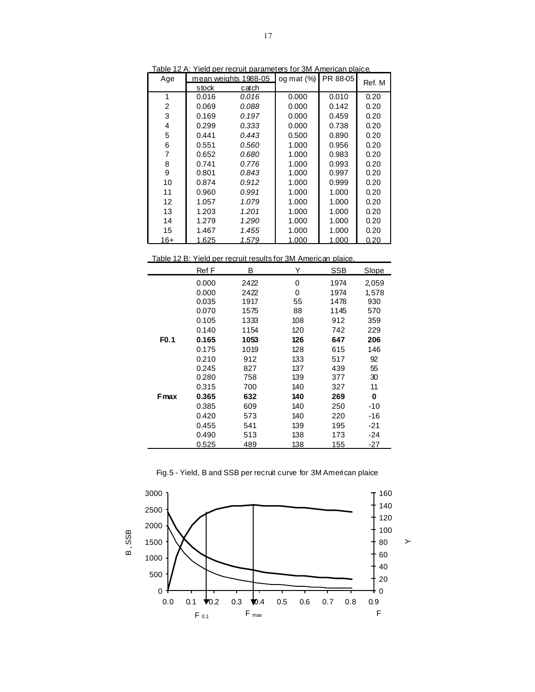| Age   |       | mean weights 1988-05 | og mat $(\%)$ | PR 88-05 | Ref. M |
|-------|-------|----------------------|---------------|----------|--------|
|       | stock | catch                |               |          |        |
| 1     | 0.016 | 0.016                | 0.000         | 0.010    | 0.20   |
| 2     | 0.069 | 0.088                | 0.000         | 0.142    | 0.20   |
| 3     | 0.169 | 0.197                | 0.000         | 0.459    | 0.20   |
| 4     | 0.299 | 0.333                | 0.000         | 0.738    | 0.20   |
| 5     | 0.441 | 0.443                | 0.500         | 0.890    | 0.20   |
| 6     | 0.551 | 0.560                | 1.000         | 0.956    | 0.20   |
| 7     | 0.652 | 0.680                | 1.000         | 0.983    | 0.20   |
| 8     | 0.741 | 0.776                | 1.000         | 0.993    | 0.20   |
| 9     | 0.801 | 0.843                | 1.000         | 0.997    | 0.20   |
| 10    | 0.874 | 0.912                | 1.000         | 0.999    | 0.20   |
| 11    | 0.960 | 0.991                | 1.000         | 1.000    | 0.20   |
| 12    | 1.057 | 1.079                | 1.000         | 1.000    | 0.20   |
| 13    | 1.203 | 1.201                | 1.000         | 1.000    | 0.20   |
| 14    | 1.279 | 1.290                | 1.000         | 1.000    | 0.20   |
| 15    | 1.467 | 1.455                | 1.000         | 1.000    | 0.20   |
| $16+$ | 1.625 | 1.579                | 1.000         | 1.000    | 0.20   |

Table 12 A: Yield per recruit parameters for 3M American plaice.

Table 12 B: Yield per recruit results for 3M American plaice.

|                  | Ref F | в    | Y   | <b>SSB</b> | <b>Slope</b> |
|------------------|-------|------|-----|------------|--------------|
|                  | 0.000 | 2422 | 0   | 1974       | 2,059        |
|                  | 0.000 | 2422 | 0   | 1974       | 1,578        |
|                  | 0.035 | 1917 | 55  | 1478       | 930          |
|                  | 0.070 | 1575 | 88  | 1145       | 570          |
|                  | 0.105 | 1333 | 108 | 912        | 359          |
|                  | 0.140 | 1154 | 120 | 742        | 229          |
| F <sub>0.1</sub> | 0.165 | 1053 | 126 | 647        | 206          |
|                  | 0.175 | 1019 | 128 | 615        | 146          |
|                  | 0.210 | 912  | 133 | 517        | 92           |
|                  | 0.245 | 827  | 137 | 439        | 55           |
|                  | 0.280 | 758  | 139 | 377        | 30           |
|                  | 0.315 | 700  | 140 | 327        | 11           |
| <b>F</b> max     | 0.365 | 632  | 140 | 269        | 0            |
|                  | 0.385 | 609  | 140 | 250        | $-10$        |
|                  | 0.420 | 573  | 140 | 220        | -16          |
|                  | 0.455 | 541  | 139 | 195        | -21          |
|                  | 0.490 | 513  | 138 | 173        | $-24$        |
|                  | 0.525 | 489  | 138 | 155        | $-27$        |

Fig.5 - Yield, B and SSB per recruit curve for 3M American plaice

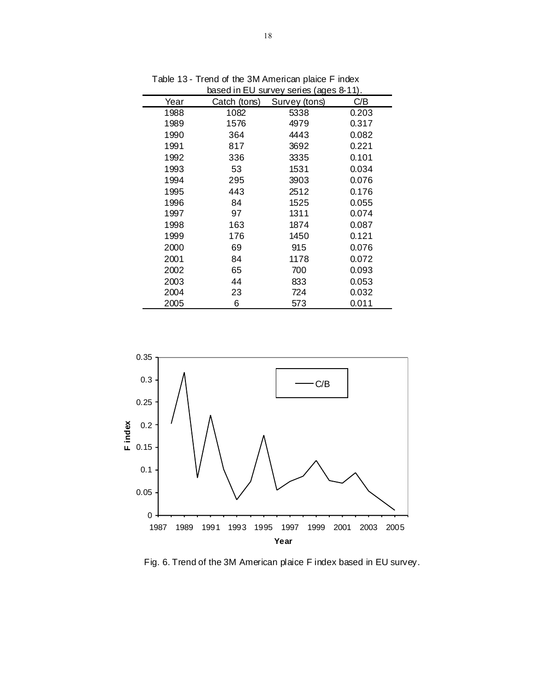|      |              | based in EU survey series (ages 8-11). |       |
|------|--------------|----------------------------------------|-------|
| Year | Catch (tons) | Survey (tons)                          | C/B   |
| 1988 | 1082         | 5338                                   | 0.203 |
| 1989 | 1576         | 4979                                   | 0.317 |
| 1990 | 364          | 4443                                   | 0.082 |
| 1991 | 817          | 3692                                   | 0.221 |
| 1992 | 336          | 3335                                   | 0.101 |
| 1993 | 53           | 1531                                   | 0.034 |
| 1994 | 295          | 3903                                   | 0.076 |
| 1995 | 443          | 2512                                   | 0.176 |
| 1996 | 84           | 1525                                   | 0.055 |
| 1997 | 97           | 1311                                   | 0.074 |
| 1998 | 163          | 1874                                   | 0.087 |
| 1999 | 176          | 1450                                   | 0.121 |
| 2000 | 69           | 915                                    | 0.076 |
| 2001 | 84           | 1178                                   | 0.072 |
| 2002 | 65           | 700                                    | 0.093 |
| 2003 | 44           | 833                                    | 0.053 |
| 2004 | 23           | 724                                    | 0.032 |
| 2005 | 6            | 573                                    | 0.011 |

Table 13 - Trend of the 3M American plaice F index



Fig. 6. Trend of the 3M American plaice F index based in EU survey.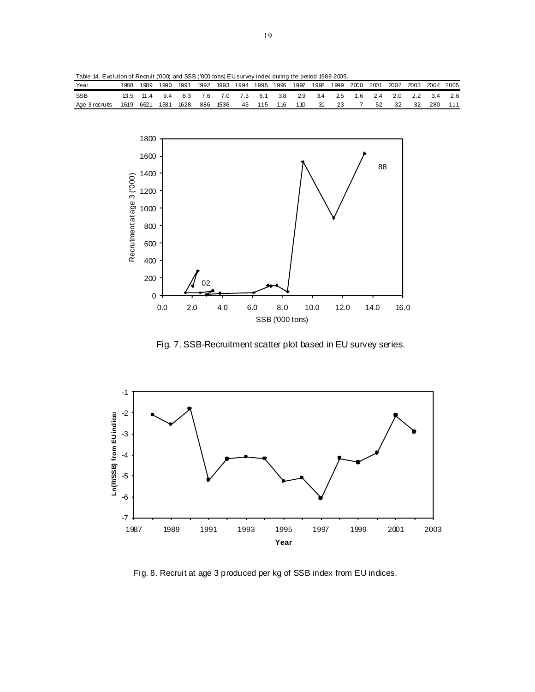Table 14. Evolution of Recruit ('000) and SSB ('000 tons) EU survey index during the period 1988-2005.

| Year           | 1988     | 1989      | 1990 | 1991 | 1992 |  | 1993 1994 1995 1996 1997 |  | 1998 |      |    | 1999 2000 2001 2002 2003 2004 2005 |    |      |       |
|----------------|----------|-----------|------|------|------|--|--------------------------|--|------|------|----|------------------------------------|----|------|-------|
| <b>SSB</b>     |          | 13.5 11.4 | 94   | 83   |      |  | 7.6 7.0 7.3 6.1 3.8 2.9  |  | 3.4  |      |    | 2.5 1.6 2.4 2.0 2.2 3.4            |    |      | - 2.6 |
| Age 3 recruits | . 1619 r | 6621 1581 |      | 1628 |      |  | 886 1536 45 115 116 110  |  | - 31 | - 23 | 52 | - 32                               | 32 | -280 | 111   |



Fig. 7. SSB-Recruitment scatter plot based in EU survey series.



Fig. 8. Recruit at age 3 produced per kg of SSB index from EU indices.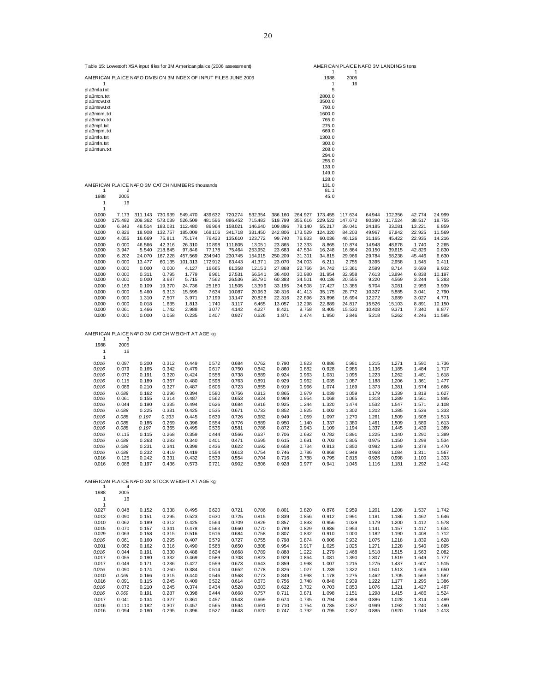| AMERICAN PLAICE NAFO 3M STOCK WEIGHT AT AGE ko |       |       |       |       |       |       |       |       |       |       |       |       |       |       |       |
|------------------------------------------------|-------|-------|-------|-------|-------|-------|-------|-------|-------|-------|-------|-------|-------|-------|-------|
|                                                | 4     |       |       |       |       |       |       |       |       |       |       |       |       |       |       |
| 1988                                           | 2005  |       |       |       |       |       |       |       |       |       |       |       |       |       |       |
|                                                | 16    |       |       |       |       |       |       |       |       |       |       |       |       |       |       |
|                                                |       |       |       |       |       |       |       |       |       |       |       |       |       |       |       |
| 0.027                                          | 0.048 | 0.152 | 0.338 | 0.495 | 0.620 | 0.721 | 0.786 | 0.801 | 0.820 | 0.876 | 0.959 | 1.201 | 1.208 | 1.537 | 1.742 |
| 0.013                                          | 0.090 | 0.151 | 0.295 | 0.523 | 0.630 | 0.725 | 0.815 | 0.839 | 0.856 | 0.912 | 0.991 | 1.181 | 1.186 | 1.462 | 1.646 |
| 0.010                                          | 0.062 | 0.189 | 0.312 | 0.425 | 0.564 | 0.709 | 0.829 | 0.857 | 0.893 | 0.956 | 1.029 | 1.179 | 1.200 | 1.412 | 1.578 |
| 0.015                                          | 0.070 | 0.157 | 0.341 | 0.478 | 0.563 | 0.660 | 0.770 | 0.799 | 0.829 | 0.886 | 0.953 | 1.141 | 1.157 | 1.417 | 1.634 |
| 0.029                                          | 0.063 | 0.158 | 0.315 | 0.516 | 0.616 | 0.684 | 0.758 | 0.807 | 0.832 | 0.910 | 1.000 | 1.182 | 1.190 | 1.408 | 1.712 |
| 0.016                                          | 0.061 | 0.160 | 0.295 | 0.407 | 0.579 | 0.727 | 0.755 | 0.798 | 0.874 | 0.906 | 0.932 | 1.075 | 1.218 | 1.839 | 1.628 |
| 0.001                                          | 0.062 | 0.162 | 0.316 | 0.490 | 0.568 | 0.650 | 0.808 | 0.954 | 0.917 | 1.025 | 1.025 | 1.271 | 1,228 | 1.540 | 1.895 |
| 0.016                                          | 0.044 | 0.191 | 0.330 | 0.488 | 0.624 | 0.668 | 0.789 | 0.888 | 1.222 | 1.279 | 1.468 | 1.518 | 1.515 | 1.563 | 2.082 |
| 0.017                                          | 0.055 | 0.190 | 0.332 | 0.469 | 0.589 | 0.708 | 0.823 | 0.929 | 0.864 | 1.081 | 1.390 | 1.307 | 1.519 | 1.649 | 1.777 |
| 0.017                                          | 0.049 | 0.171 | 0.236 | 0.427 | 0.559 | 0.673 | 0.643 | 0.859 | 0.998 | 1.007 | 1.215 | 1.275 | 1.437 | 1.607 | 1.515 |
| 0.016                                          | 0.090 | 0.174 | 0.260 | 0.384 | 0.514 | 0.652 | 0.778 | 0.826 | 1.027 | 1.239 | 1.322 | 1.501 | 1.513 | 1.606 | 1.650 |
| 0.010                                          | 0.069 | 0.166 | 0.315 | 0.440 | 0.546 | 0.568 | 0.773 | 0.849 | 0.998 | 1.178 | 1.275 | 1.462 | 1.705 | 1.563 | 1.587 |
| 0.016                                          | 0.091 | 0.115 | 0.245 | 0.409 | 0.522 | 0.614 | 0.673 | 0.756 | 0.748 | 0.848 | 0.939 | 1.222 | 1.177 | 1.295 | 1.386 |
| 0.016                                          | 0.072 | 0.210 | 0.245 | 0.374 | 0.434 | 0.528 | 0.603 | 0.622 | 0.702 | 0.703 | 0.853 | 1.076 | 1.321 | 1.427 | 1.487 |
| 0.016                                          | 0.069 | 0.191 | 0.287 | 0.398 | 0.444 | 0.668 | 0.757 | 0.711 | 0.871 | 1.098 | 1.151 | 1.298 | 1.415 | 1.486 | 1.524 |
| 0.017                                          | 0.041 | 0.134 | 0.327 | 0.361 | 0.457 | 0.543 | 0.669 | 0.674 | 0.735 | 0.794 | 0.858 | 0.886 | 1.028 | 1.314 | 1.499 |
| 0.016                                          | 0.110 | 0.182 | 0.307 | 0.457 | 0.565 | 0.594 | 0.691 | 0.710 | 0.754 | 0.785 | 0.837 | 0.999 | 1.092 | 1.240 | 1.490 |
| 0.016                                          | 0.094 | 0.180 | 0.295 | 0.396 | 0.527 | 0.643 | 0.620 | 0.747 | 0.792 | 0.795 | 0.827 | 0.885 | 0.920 | 1.048 | 1.413 |

| 1988           | 2005  |       |       |       |       |       |       |       |       |       |       |       |       |       |       |
|----------------|-------|-------|-------|-------|-------|-------|-------|-------|-------|-------|-------|-------|-------|-------|-------|
| 1              | 16    |       |       |       |       |       |       |       |       |       |       |       |       |       |       |
| $\overline{1}$ |       |       |       |       |       |       |       |       |       |       |       |       |       |       |       |
| 0.016          | 0.097 | 0.200 | 0.312 | 0.449 | 0.572 | 0.684 | 0.762 | 0.790 | 0.823 | 0.886 | 0.981 | 1.215 | 1.271 | 1.590 | 1.736 |
| 0.016          | 0.079 | 0.165 | 0.342 | 0.479 | 0.617 | 0.750 | 0.842 | 0.860 | 0.882 | 0.928 | 0.985 | 1.136 | 1.185 | 1.484 | 1.717 |
| 0.016          | 0.072 | 0.191 | 0.320 | 0.424 | 0.558 | 0.738 | 0.889 | 0.924 | 0.963 | 1.031 | 1.095 | 1.223 | 1.262 | 1.481 | 1.618 |
| 0.016          | 0.115 | 0.189 | 0.367 | 0.480 | 0.598 | 0.763 | 0.891 | 0.929 | 0.962 | 1.035 | 1.087 | 1.188 | 1,206 | 1.361 | 1.477 |
| 0.016          | 0.086 | 0.210 | 0.327 | 0.487 | 0.606 | 0.723 | 0.855 | 0.919 | 0.966 | 1.074 | 1.169 | 1.373 | 1.381 | 1.574 | 1.666 |
| 0.016          | 0.088 | 0.162 | 0.296 | 0.394 | 0.580 | 0.756 | 0.813 | 0.865 | 0.979 | 1.039 | 1.059 | 1.179 | 1.339 | 1.819 | 1.627 |
| 0.016          | 0.061 | 0.155 | 0.314 | 0.487 | 0.562 | 0.653 | 0.824 | 0.969 | 0.954 | 1.068 | 1.065 | 1.318 | 1.289 | 1.561 | 1.895 |
| 0.016          | 0.044 | 0.190 | 0.335 | 0.494 | 0.626 | 0.684 | 0.816 | 0.925 | 1.244 | 1.320 | 1,474 | 1.532 | 1.547 | 1.571 | 2.108 |
| 0.016          | 0.088 | 0.225 | 0.331 | 0.425 | 0.535 | 0.671 | 0.733 | 0.852 | 0.825 | 1.002 | 1.302 | 1.202 | 1.385 | 1.539 | 1.333 |
| 0.016          | 0.088 | 0.197 | 0.333 | 0.445 | 0.639 | 0.726 | 0.682 | 0.949 | 1.059 | 1.097 | 1,270 | 1.261 | 1.509 | 1.508 | 1.513 |
| 0.016          | 0.088 | 0.185 | 0.269 | 0.396 | 0.554 | 0.776 | 0.889 | 0.950 | 1.140 | 1.337 | 1,380 | 1.461 | 1.509 | 1.589 | 1.613 |
| 0.016          | 0.088 | 0.197 | 0.365 | 0.495 | 0.536 | 0.581 | 0.786 | 0.872 | 0.943 | 1.109 | 1.194 | 1.337 | 1.445 | 1.439 | 1.389 |
| 0.016          | 0.115 | 0.115 | 0.268 | 0.359 | 0.444 | 0.566 | 0.637 | 0.706 | 0.692 | 0.782 | 0.891 | 1.225 | 1.140 | 1.290 | 1.389 |
| 0.016          | 0.088 | 0.263 | 0.283 | 0.340 | 0.401 | 0.471 | 0.595 | 0.615 | 0.691 | 0.703 | 0.805 | 0.975 | 1.150 | 1.298 | 1.534 |
| 0.016          | 0.088 | 0.231 | 0.341 | 0.398 | 0.436 | 0.622 | 0.692 | 0.658 | 0.734 | 0.813 | 0.850 | 0.992 | 1.349 | 1.378 | 1.470 |
| 0.016          | 0.088 | 0.232 | 0.419 | 0.419 | 0.554 | 0.613 | 0.754 | 0.746 | 0.786 | 0.868 | 0.949 | 0.968 | 1.084 | 1.311 | 1.567 |
| 0.016          | 0.125 | 0.242 | 0.331 | 0.432 | 0.539 | 0.554 | 0.704 | 0.716 | 0.788 | 0.795 | 0.815 | 0.926 | 0.998 | 1.100 | 1.333 |
| 0.016          | 0.088 | 0.197 | 0.436 | 0.573 | 0.721 | 0.902 | 0.806 | 0.928 | 0.977 | 0.941 | 1.045 | 1.116 | 1.181 | 1.292 | 1.442 |
|                |       |       |       |       |       |       |       |       |       |       |       |       |       |       |       |
|                |       |       |       |       |       |       |       |       |       |       |       |       |       |       |       |

AMERICAN PLAICE NAFO 3M CATCH W EIGHT AT AGE kg 1 3

|                                                 |         |         |         |         |         |         |         |         |         | 140. V  |         |        |         |        |        |
|-------------------------------------------------|---------|---------|---------|---------|---------|---------|---------|---------|---------|---------|---------|--------|---------|--------|--------|
| AMERICAN PLAICE NAFO 3M CATCH NUMBERS thousands |         |         |         |         |         |         |         |         |         | 131.0   |         |        |         |        |        |
|                                                 | 2       |         |         |         |         |         |         |         |         | 81.1    |         |        |         |        |        |
| 1988                                            | 2005    |         |         |         |         |         |         |         |         | 45.0    |         |        |         |        |        |
|                                                 | 16      |         |         |         |         |         |         |         |         |         |         |        |         |        |        |
|                                                 |         |         |         |         |         |         |         |         |         |         |         |        |         |        |        |
| 0.000                                           | 7.173   | 311.143 | 730.939 | 549.470 | 439.632 | 720.274 | 532.354 | 386.160 | 264.927 | 173.455 | 117.634 | 64.944 | 102.356 | 42.774 | 24.999 |
| 0.000                                           | 175.482 | 209.362 | 573.039 | 526.509 | 481.596 | 886.452 | 715.483 | 519.799 | 355.616 | 229.522 | 147.672 | 80.390 | 117.524 | 38.517 | 18.755 |
| 0.000                                           | 6.843   | 48.514  | 183.081 | 112.480 | 86.964  | 158.021 | 146,640 | 109.896 | 78.140  | 55.217  | 39.041  | 24.185 | 33.081  | 13.221 | 6.859  |
| 0.000                                           | 0.826   | 18.908  | 132.757 | 185,009 | 168.106 | 341.718 | 331.450 | 242.806 | 173.529 | 124.320 | 84.203  | 49.967 | 67.842  | 22.925 | 11.569 |
| 0.000                                           | 4.055   | 16.669  | 75.811  | 75.174  | 76.423  | 135.610 | 123.772 | 99.740  | 76.833  | 60.036  | 46.126  | 31.165 | 45.422  | 22.935 | 14.216 |
| 0.000                                           | 0.000   | 46.566  | 42.316  | 26.310  | 10.898  | 111.805 | 13.051  | 23.865  | 12.333  | 8.865   | 10.874  | 14,948 | 48,678  | 1.740  | 2.265  |
| 0.000                                           | 3.947   | 5.540   | 218.845 | 97.846  | 77.178  | 75.464  | 253.952 | 23.683  | 47.534  | 16.248  | 16.864  | 20.150 | 39.615  | 42.826 | 0.830  |
| 0.000                                           | 6.202   | 24.070  | 167.228 | 457.569 | 234.940 | 230.745 | 154.915 | 250.209 | 31.301  | 34.815  | 29.966  | 29.784 | 58.238  | 45.446 | 6.630  |
| 0.000                                           | 0.000   | 13.477  | 60.135  | 101.313 | 172.912 | 63.443  | 41.371  | 23.070  | 34.003  | 6.211   | 2.755   | 3.395  | 2.958   | 1.545  | 0.411  |
| 0.000                                           | 0.000   | 0.000   | 0.000   | 4.127   | 16.665  | 61.358  | 12.153  | 27.868  | 22.766  | 34.742  | 13.361  | 2.599  | 8.714   | 3.699  | 9.932  |
| 0.000                                           | 0.000   | 0.311   | 0.795   | 1.779   | 6.961   | 27.531  | 56.541  | 36.400  | 30.980  | 31.954  | 32.958  | 7.613  | 13,894  | 6.838  | 10.197 |
| 0.000                                           | 0.000   | 0.000   | 3.687   | 5.715   | 7.562   | 26,536  | 58.790  | 60.383  | 34.501  | 40.136  | 20.555  | 9,220  | 4.569   | 3.244  | 5.283  |
| 0.000                                           | 0.163   | 0.109   | 19.370  | 24.736  | 25.180  | 11.505  | 13.399  | 33.195  | 34.508  | 17.427  | 13.385  | 5.704  | 3.081   | 2.956  | 3.939  |
| 0.000                                           | 0.000   | 5.460   | 6.313   | 15.595  | 7.634   | 10.087  | 20.963  | 30.316  | 41.413  | 35.175  | 28.772  | 10.327 | 5.885   | 3.041  | 2.790  |
| 0.000                                           | 0.000   | 1.310   | 7.507   | 3.971   | 17.199  | 13.147  | 20.828  | 22.316  | 22.896  | 23.896  | 16.694  | 12.272 | 3.689   | 3.027  | 4.771  |
| 0.000                                           | 0.000   | 0.018   | 1.635   | 1.813   | 1.740   | 3.117   | 6.465   | 13.057  | 12.298  | 22.889  | 24.817  | 15.526 | 15.103  | 8.891  | 10.150 |
| 0.000                                           | 0.061   | 1.466   | 1.742   | 2.988   | 3.077   | 4.142   | 4.227   | 8.421   | 9.758   | 8.405   | 15.530  | 10.408 | 9.371   | 7.340  | 8.877  |
| 0.000                                           | 0.000   | 0.000   | 0.058   | 0.235   | 0.407   | 0.927   | 0.626   | 1.871   | 2.474   | 1.950   | 2.846   | 5.218  | 5.262   | 4.246  | 11.595 |

| Table 15: Lowest of t XSA input files for 3M American plaice (2006 assessment) | <b>AMERICAN PLAICE</b> |      |
|--------------------------------------------------------------------------------|------------------------|------|
| AMERICAN PLAICE NAFO DIVISION 3M INDEX OF INPUT FILES JUNE 2006                | 1988                   | 2005 |
|                                                                                |                        | 16   |
| pla3mla.txt                                                                    | 5                      |      |
| pla3mcn.txt                                                                    | 2800.0                 |      |
| pla3mcw.txt                                                                    | 3500.0                 |      |
| pla3msw.txt                                                                    | 790.0                  |      |
| pla3mnm.txt                                                                    | 1600.0                 |      |
| pla3mmo.txt                                                                    | 765.0                  |      |
| pla3mpf.txt                                                                    | 275.0                  |      |
| pla3mpm.txt                                                                    | 669.0                  |      |
| pla3mfo.txt                                                                    | 1300.0                 |      |
| pla3mfn.txt                                                                    | 300.0                  |      |
| pla3mtun.txt                                                                   | 208.0                  |      |
|                                                                                | 294.0                  |      |
|                                                                                | 255.0                  |      |
|                                                                                | 133.0                  |      |
|                                                                                | 149.0                  |      |
|                                                                                | 128.0                  |      |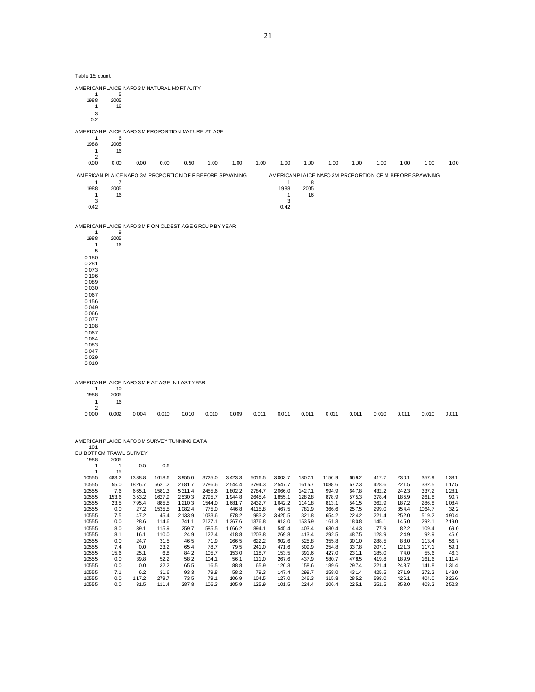| Table 15: count.                                                                                                                                                                      |                                            |                                                   |                                                       |                                                          |                                                         |                                                        |                                                         |                                                         |                                                        |                                                     |                                                  |                                                    |                                                   |                                                         |                                                  |
|---------------------------------------------------------------------------------------------------------------------------------------------------------------------------------------|--------------------------------------------|---------------------------------------------------|-------------------------------------------------------|----------------------------------------------------------|---------------------------------------------------------|--------------------------------------------------------|---------------------------------------------------------|---------------------------------------------------------|--------------------------------------------------------|-----------------------------------------------------|--------------------------------------------------|----------------------------------------------------|---------------------------------------------------|---------------------------------------------------------|--------------------------------------------------|
| AMERICAN PLAICE NAFO 3M NATURAL MORTALITY                                                                                                                                             |                                            |                                                   |                                                       |                                                          |                                                         |                                                        |                                                         |                                                         |                                                        |                                                     |                                                  |                                                    |                                                   |                                                         |                                                  |
| -1<br>1988<br>$\mathbf{1}$<br>3<br>0.2                                                                                                                                                | 5<br>2005<br>16                            |                                                   |                                                       |                                                          |                                                         |                                                        |                                                         |                                                         |                                                        |                                                     |                                                  |                                                    |                                                   |                                                         |                                                  |
| AMERICAN PLAICE NAFO 3M PROPORTION MATURE AT AGE                                                                                                                                      |                                            |                                                   |                                                       |                                                          |                                                         |                                                        |                                                         |                                                         |                                                        |                                                     |                                                  |                                                    |                                                   |                                                         |                                                  |
| $\mathbf{1}$<br>1988<br>$\mathbf{1}$                                                                                                                                                  | 6<br>2005<br>16                            |                                                   |                                                       |                                                          |                                                         |                                                        |                                                         |                                                         |                                                        |                                                     |                                                  |                                                    |                                                   |                                                         |                                                  |
| $\overline{2}$<br>0.00                                                                                                                                                                | 0.00                                       | 0.00                                              | 0.00                                                  | 0.50                                                     | 1.00                                                    | 1.00                                                   | 1.00                                                    | 1.00                                                    | 1.00                                                   | 1.00                                                | 1.00                                             | 1.00                                               | 1.00                                              | 1.00                                                    | 1.00                                             |
| AMERICAN PLAICE NAFO 3M PROPORTION OF F BEFORE SPAWNING                                                                                                                               |                                            |                                                   |                                                       |                                                          |                                                         |                                                        |                                                         |                                                         |                                                        |                                                     |                                                  |                                                    |                                                   | AMERICAN PLAICE NAFO 3M PROPORTION OF M BEFORE SPAWNING |                                                  |
| $\overline{1}$<br>1988<br>$\mathbf{1}$<br>3<br>0.42                                                                                                                                   | $\overline{7}$<br>2005<br>16               |                                                   |                                                       |                                                          |                                                         |                                                        |                                                         | $\mathbf{1}$<br>1988<br>1<br>3<br>0.42                  | 8<br>2005<br>16                                        |                                                     |                                                  |                                                    |                                                   |                                                         |                                                  |
| AMERICAN PLAICE NAFO 3M F ON OLDEST AGE GROUP BY YEAR                                                                                                                                 |                                            |                                                   |                                                       |                                                          |                                                         |                                                        |                                                         |                                                         |                                                        |                                                     |                                                  |                                                    |                                                   |                                                         |                                                  |
| 1<br>1988<br>1<br>5<br>0.180<br>0.281<br>0.073<br>0.196<br>0.089<br>0.030<br>0.067<br>0.156<br>0.049<br>0.066<br>0.077<br>0.108<br>0.067<br>0.064<br>0.083<br>0.047<br>0.029<br>0.010 | 9<br>2005<br>16                            |                                                   |                                                       |                                                          |                                                         |                                                        |                                                         |                                                         |                                                        |                                                     |                                                  |                                                    |                                                   |                                                         |                                                  |
| AMERICAN PLAICE NAFO 3M F AT AGE IN LAST YEAR<br>$\mathbf{1}$                                                                                                                         | 10                                         |                                                   |                                                       |                                                          |                                                         |                                                        |                                                         |                                                         |                                                        |                                                     |                                                  |                                                    |                                                   |                                                         |                                                  |
| 1988<br>1                                                                                                                                                                             | 2005<br>16                                 |                                                   |                                                       |                                                          |                                                         |                                                        |                                                         |                                                         |                                                        |                                                     |                                                  |                                                    |                                                   |                                                         |                                                  |
| $\overline{2}$<br>0.000                                                                                                                                                               | 0.002                                      | 0.004                                             | 0.010                                                 | 0.010                                                    | 0.010                                                   | 0.009                                                  | 0.011                                                   | 0.011                                                   | 0.011                                                  | 0.011                                               | 0.011                                            | 0.010                                              | 0.011                                             | 0.010                                                   | 0.011                                            |
| AMERICAN PLAICE NAFO 3M SURVEY TUNNING DATA<br>101<br>EU BOTTOM TRAWL SURVEY<br>1988<br>$\mathbf{1}$                                                                                  | 2005<br>$\mathbf{1}$                       | 0.5                                               | 0.6                                                   |                                                          |                                                         |                                                        |                                                         |                                                         |                                                        |                                                     |                                                  |                                                    |                                                   |                                                         |                                                  |
| $\mathbf{1}$<br>10555                                                                                                                                                                 | 15<br>483.2                                | 1338.8                                            | 1618.6                                                | 3955.0                                                   | 3725.0                                                  | 3423.3                                                 | 5016.5                                                  | 3003.7                                                  | 1802.1                                                 | 1156.9                                              | 6692                                             | 417.7                                              | 230.1                                             | 357.9                                                   | 138.1                                            |
| 10555<br>10555<br>10555<br>10555<br>10555<br>10555                                                                                                                                    | 55.0<br>7.6<br>153.6<br>23.5<br>0.0<br>7.5 | 1826.7<br>665.1<br>353.2<br>795.4<br>27.2<br>47.2 | 6621.2<br>1581.3<br>1627.9<br>885.5<br>1535.5<br>45.4 | 2681.7<br>5311.4<br>2530.3<br>1210.3<br>1082.4<br>2133.9 | 2786.6<br>2455.6<br>2795.7<br>1544.0<br>775.0<br>1033.6 | 2544.4<br>1802.2<br>1944.8<br>1681.7<br>446.8<br>878.2 | 3794.3<br>2784.7<br>2645.4<br>2432.7<br>4115.8<br>983.2 | 2547.7<br>2066.0<br>1855.1<br>1642.2<br>467.5<br>3425.5 | 1615.7<br>1427.1<br>1282.8<br>1141.8<br>781.9<br>321.8 | 1088.6<br>994.9<br>878.9<br>813.1<br>366.6<br>654.2 | 6723<br>647.8<br>575.3<br>541.5<br>257.5<br>2242 | 428.6<br>432.2<br>378.4<br>362.9<br>299.0<br>221.4 | 221.5<br>242.3<br>185.9<br>1872<br>354.4<br>252.0 | 332.5<br>337.2<br>261.8<br>286.8<br>1064.7<br>519.2     | 117.5<br>128.1<br>90.7<br>108.4<br>32.2<br>490.4 |

10555 0.0 28.6 114.6 741.1 2127.1 1367.6 1376.8 913.0 1535.9 161.3 180.8 145.1 145.0 292.1 219.0 10555 8.0 39.1 115.9 259.7 585.5 1666.2 894.1 545.4 403.4 630.4 144.3 77.9 82.2 109.4 69.0 10555 8.1 16.1 110.0 24.9 122.4 418.8 1203.8 269.8 413.4 292.5 487.5 128.9 24.9 92.9 46.6 10555 0.0 24.7 31.5 46.5 71.9 266.5 622.2 902.6 525.8 355.8 301.0 288.5 88.0 113.4 56.7 10555 7.4 0.0 23.2 65.4 78.7 79.5 241.0 471.6 509.9 254.8 337.8 207.1 121.3 117.1 59.1 10555 15.6 25.1 6.8 84.2 105.7 153.0 118.7 153.5 391.6 427.0 231.1 185.0 74.0 55.6 46.3 10555 0.0 39.8 52.2 58.2 104.1 56.1 111.0 267.6 437.9 580.7 478.5 419.8 189.9 161.6 111.4 10555 0.0 0.0 32.2 65.5 16.5 88.8 65.9 126.3 158.6 189.6 297.4 221.4 248.7 141.8 131.4 10555 7.1 6.2 31.6 93.3 79.8 58.2 79.3 147.4 299.7 258.0 431.4 425.5 271.9 272.2 148.0 10555 0.0 117.2 279.7 73.5 79.1 106.9 104.5 127.0 246.3 315.8 285.2 598.0 426.1 404.0 326.6 10555 0.0 31.5 111.4 287.8 106.3 105.9 125.9 101.5 224.4 206.4 225.1 251.5 353.0 403.2 252.3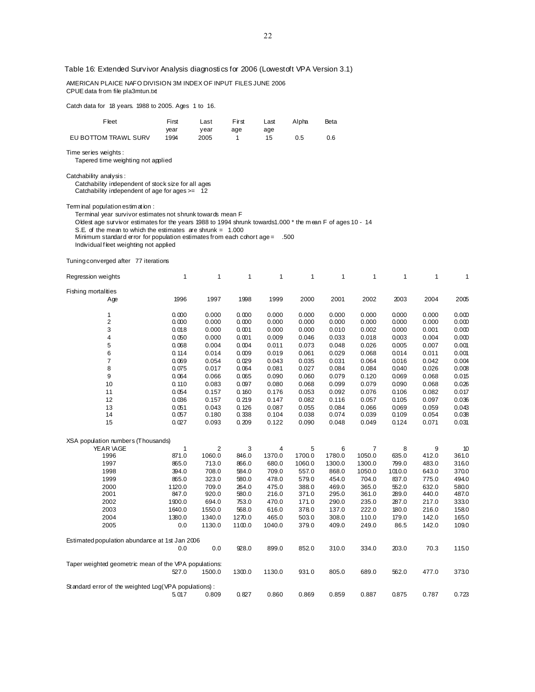Table 16: Extended Survivor Analysis diagnostics for 2006 (Lowestoft VPA Version 3.1)

 AMERICAN PLAICE NAFO DIVISION 3M INDEX OF INPUT FILES JUNE 2006 CPUE data from file pla3mtun.txt Catch data for 18 years. 1988 to 2005. Ages 1 to 16. Fleet First Last First Last Alpha Beta year year age age EU BOTTOM TRAWL SURV 1994 2005 1 15 0.5 0.6 Time series weights : Tapered time weighting not applied Catchability analysis : Catchability independent of stock size for all ages Catchability independent of age for ages >= 12 Term inal population estim at ion : Terminal year survivor estimates not shrunk towards mean F Oldest age survivor estimates for the years 1988 to 1994 shrunk towards1.000 \* the m ean F of ages 10 - 14 S.E. of the mean to which the estimates are shrunk =  $1.000$ Minimum standard error for population estimates from each cohort age = .500 Individual f leet weighting not applied Tuning converged after 77 iterations Regression weights 1 1 1 1 1 1 1 1 1 1 Fishing mortalities Age 1996 1997 1998 1999 2000 2001 2002 2003 2004 2005 1 0. 000 0.000 0. 000 0.000 0.000 0.000 0.000 0.000 0.000 0.000 2 0. 000 0.000 0. 000 0.000 0.000 0.000 0.000 0.000 0.000 0.000 3 0. 018 0.000 0. 001 0.000 0.000 0.010 0.002 0.000 0.001 0.000 4 0. 050 0.000 0. 001 0.009 0.046 0.033 0.018 0.003 0.004 0.000 5 0. 068 0.004 0. 004 0.011 0.073 0.048 0.026 0.005 0.007 0.001 6 0. 114 0.014 0. 009 0.019 0.061 0.029 0.068 0.014 0.011 0.001 7 0. 069 0.054 0. 029 0.043 0.035 0.031 0.064 0.016 0.042 0.004 8 0. 075 0.017 0. 064 0.081 0.027 0.084 0.084 0.040 0.026 0.008 9 0. 064 0.066 0. 065 0.090 0.060 0.079 0.120 0.069 0.068 0.015 10 0. 110 0.083 0. 097 0.080 0.068 0.099 0.079 0.090 0.068 0.026 11 0. 054 0.157 0. 160 0.176 0.053 0.092 0.076 0.106 0.082 0.017 12 0. 036 0.157 0. 219 0.147 0.082 0.116 0.057 0.105 0.097 0.036 13 0. 051 0.043 0. 126 0.087 0.055 0.084 0.066 0.069 0.059 0.043 14 0. 057 0.180 0. 338 0.104 0.038 0.074 0.039 0.109 0.054 0.038

 XSA population numbers (Thousands) YEAR \AGE 1 2 3 4 5 6 7 8 9 10 1996 871.0 1060.0 846.0 1370.0 1700. 0 1780.0 1050.0 635.0 412.0 361.0 1997 865.0 713.0 866.0 680.0 1060. 0 1300.0 1300.0 799.0 483.0 316.0 1998 394.0 708.0 584.0 709.0 557. 0 868.0 1050.0 1010.0 643.0 370.0 1999 865.0 323.0 580.0 478.0 579. 0 454.0 704.0 837.0 775.0 494.0 2000 1120.0 709.0 264.0 475.0 388. 0 469.0 365.0 552.0 632.0 580.0 2001 847.0 920.0 580.0 216.0 371. 0 295.0 361.0 289.0 440.0 487.0 2002 1900.0 694.0 753.0 470.0 171. 0 290.0 235.0 287.0 217.0 333.0 2003 1640.0 1550.0 568.0 616.0 378. 0 137.0 222.0 180.0 216.0 158.0 2004 1380.0 1340.0 1270.0 465.0 503. 0 308.0 110.0 179.0 142.0 165.0 2005 0.0 1130.0 1100.0 1040.0 379. 0 409.0 249.0 86.5 142.0 109.0 Estimated population abundance at 1st Jan 2006 0.0 0.0 928.0 899.0 852. 0 310.0 334.0 203.0 70.3 115.0 Taper weighted geometric mean of the VPA populations: 527.0 1500.0 1300.0 1130.0 931. 0 805.0 689.0 562.0 477.0 373.0 St andard error of the weighted Log(VPA populations) : 5. 017 0.809 0. 827 0.860 0.869 0.859 0.887 0.875 0.787 0.723

15 0. 027 0.093 0. 209 0.122 0.090 0.048 0.049 0.124 0.071 0.031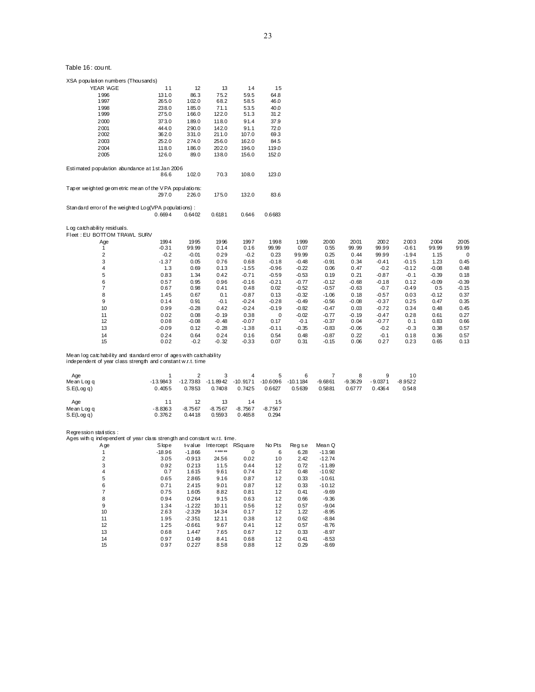| XSA population numbers (Thousands)                    |         |         |         |         |             |         |         |         |         |         |         |           |
|-------------------------------------------------------|---------|---------|---------|---------|-------------|---------|---------|---------|---------|---------|---------|-----------|
| YEAR VAGE                                             | 11      | 12      | 13      | 14      | 15          |         |         |         |         |         |         |           |
| 1996                                                  | 131.0   | 86.3    | 75.2    | 59.5    | 64.8        |         |         |         |         |         |         |           |
| 1997                                                  | 265.0   | 102.0   | 68.2    | 58.5    | 46.0        |         |         |         |         |         |         |           |
| 1998                                                  | 238.0   | 185.0   | 71.1    | 53.5    | 40.0        |         |         |         |         |         |         |           |
| 1999                                                  | 275.0   | 166.0   | 122.0   | 51.3    | 31.2        |         |         |         |         |         |         |           |
| 2000                                                  | 373.0   | 189.0   | 118.0   | 91.4    | 37.9        |         |         |         |         |         |         |           |
| 2001                                                  | 444.0   | 290.0   | 142.0   | 91.1    | 72.0        |         |         |         |         |         |         |           |
| 2002                                                  | 362.0   | 331.0   | 211.0   | 107.0   | 69.3        |         |         |         |         |         |         |           |
| 2003                                                  | 252.0   | 274.0   | 256.0   | 162.0   | 84.5        |         |         |         |         |         |         |           |
| 2004                                                  | 118.0   | 186.0   | 202.0   | 196.0   | 119.0       |         |         |         |         |         |         |           |
| 2005                                                  | 126.0   | 89.0    | 138.0   | 156.0   | 152.0       |         |         |         |         |         |         |           |
| Estimated population abundance at 1st Jan 2006        |         |         |         |         |             |         |         |         |         |         |         |           |
|                                                       | 86.6    | 102.0   | 70.3    | 108.0   | 123.0       |         |         |         |         |         |         |           |
| Taper weighted geometric mean of the VPA populations: |         |         |         |         |             |         |         |         |         |         |         |           |
|                                                       | 297.0   | 226.0   | 175.0   | 132.0   | 83.6        |         |         |         |         |         |         |           |
| Standard error of the weighted Log(VPA populations):  |         |         |         |         |             |         |         |         |         |         |         |           |
|                                                       | 0.6694  | 0.6402  | 0.6181  | 0.646   | 0.6683      |         |         |         |         |         |         |           |
| Log catch ability residuals.                          |         |         |         |         |             |         |         |         |         |         |         |           |
| Fleet: EU BOTTOM TRAWL SURV                           |         |         |         |         |             |         |         |         |         |         |         |           |
| Age                                                   | 1994    | 1995    | 1996    | 1997    | 1998        | 1999    | 2000    | 2001    | 2002    | 2003    | 2004    | 2005      |
| 1                                                     | $-0.31$ | 99.99   | 0.14    | 0.16    | 99.99       | 0.07    | 0.55    | 99.99   | 99.99   | $-0.61$ | 99.99   | 99.99     |
| $\overline{\mathbf{c}}$                               | $-0.2$  | $-0.01$ | 0.29    | $-0.2$  | 0.23        | 99.99   | 0.25    | 0.44    | 99.99   | $-1.94$ | 1.15    | $\pmb{0}$ |
| 3                                                     | $-1.37$ | 0.05    | 0.76    | 0.68    | $-0.18$     | $-0.48$ | $-0.91$ | 0.34    | $-0.41$ | $-0.15$ | 1.23    | 0.45      |
| 4                                                     | 1.3     | 0.69    | 0.13    | $-1.55$ | $-0.96$     | $-0.22$ | 0.06    | 0.47    | $-0.2$  | $-0.12$ | $-0.08$ | 0.48      |
| 5                                                     | 0.83    | 1.34    | 0.42    | $-0.71$ | $-0.59$     | $-0.53$ | 0.19    | 0.21    | $-0.87$ | $-0.1$  | $-0.39$ | 0.18      |
| 6                                                     | 0.57    | 0.95    | 0.96    | $-0.16$ | $-0.21$     | $-0.77$ | $-0.12$ | $-0.68$ | $-0.18$ | 0.12    | $-0.09$ | $-0.39$   |
| $\overline{7}$                                        | 0.67    | 0.98    | 0.41    | 0.48    | 0.02        | $-0.52$ | $-0.57$ | $-0.63$ | $-0.7$  | $-0.49$ | 0.5     | $-0.15$   |
| 8                                                     | 1.45    | 0.67    | 0.1     | $-0.87$ | 0.13        | $-0.32$ | $-1.06$ | 0.18    | $-0.57$ | 0.03    | $-0.12$ | 0.37      |
| 9                                                     | 0.14    | 0.91    | $-0.1$  | $-0.24$ | $-0.28$     | $-0.49$ | $-0.56$ | $-0.08$ | $-0.37$ | 0.25    | 0.47    | 0.35      |
| 10                                                    | 0.99    | $-0.28$ | 0.42    | $-0.24$ | $-0.19$     | $-0.82$ | $-0.47$ | 0.03    | $-0.72$ | 0.34    | 0.48    | 0.45      |
| 11                                                    | 0.02    | 0.08    | $-0.19$ | 0.38    | $\mathbf 0$ | $-0.02$ | $-0.77$ | $-0.19$ | $-0.47$ | 0.28    | 0.61    | 0.27      |
| 12                                                    | 0.08    | $-0.08$ | $-0.48$ | $-0.07$ | 0.17        | $-0.1$  | $-0.37$ | 0.04    | $-0.77$ | 0.1     | 0.83    | 0.66      |
| 13                                                    | $-0.09$ | 0.12    | $-0.28$ | $-1.38$ | $-0.11$     | $-0.35$ | $-0.83$ | $-0.06$ | $-0.2$  | $-0.3$  | 0.38    | 0.57      |
| 14                                                    | 0.24    | 0.64    | 0.24    | 0.16    | 0.54        | 0.48    | $-0.87$ | 0.22    | $-0.1$  | 0.18    | 0.36    | 0.57      |
| 15                                                    | 0.02    | $-0.2$  | $-0.32$ | $-0.33$ | 0.07        | 0.31    | $-0.15$ | 0.06    | 0.27    | 0.23    | 0.65    | 0.13      |
|                                                       |         |         |         |         |             |         |         |         |         |         |         |           |

Mean log catc hability and standard error of ages with catchability independent of year class strength and c onstant w.r.t. time

| Age<br>Mean Log q<br>S.E(Log q) | $-13.9843$<br>0.4055 | $-12.7383$<br>0.7853      | -11.8942<br>0.7408        | 4<br>$-10.9171$<br>0.7425 | 5<br>$-10.6096$<br>0.6627 | 6<br>-10.1184<br>0.5639 | $-9.6861$<br>0.5881 | $-9.3629$<br>0.6777 | 9<br>$-9.0371$<br>0.4364 | 10<br>$-8.9522$<br>0.548 |
|---------------------------------|----------------------|---------------------------|---------------------------|---------------------------|---------------------------|-------------------------|---------------------|---------------------|--------------------------|--------------------------|
| Age<br>Mean Log q<br>S.E(Log q) | $-8.8363$<br>0.3762  | 12<br>$-8.7567$<br>0.4418 | 13<br>$-8.7567$<br>0.5593 | 14<br>$-8.7567$<br>0.4658 | 15<br>$-8.7567$<br>0.294  |                         |                     |                     |                          |                          |

Regression statistics :<br>Ages with q independent of year class strength and constant w.r.t. time.

| A ge           | Slope    | t-value  | Intercept | RSquare | No Pts | Reg s.e | Mean Q   |
|----------------|----------|----------|-----------|---------|--------|---------|----------|
|                | $-18.96$ | $-1.866$ | * *** **  | 0       | 6      | 6.28    | $-13.98$ |
| $\overline{2}$ | 3.05     | $-0.913$ | 24.56     | 0.02    | 10     | 2.42    | $-12.74$ |
| 3              | 0.92     | 0.213    | 11.5      | 0.44    | 12     | 0.72    | $-11.89$ |
| 4              | 0.7      | 1.615    | 9.61      | 0.74    | 12     | 0.48    | $-10.92$ |
| 5              | 0.65     | 2.865    | 9.16      | 0.87    | 12     | 0.33    | $-10.61$ |
| 6              | 0.71     | 2.415    | 9.01      | 0.87    | 12     | 0.33    | $-10.12$ |
|                | 0.75     | 1.605    | 8.82      | 0.81    | 12     | 0.41    | $-9.69$  |
| 8              | 0.94     | 0.264    | 9.15      | 0.63    | 12     | 0.66    | $-9.36$  |
| 9              | 1.34     | $-1.222$ | 10.11     | 0.56    | 12     | 0.57    | $-9.04$  |
| 10             | 2.63     | $-2.329$ | 14.34     | 0.17    | 12     | 1.22    | $-8.95$  |
| 11             | 1.95     | $-2.351$ | 12.11     | 0.38    | 12     | 0.62    | $-8.84$  |
| 12             | 1.25     | $-0.661$ | 9.67      | 0.41    | 12     | 0.57    | $-8.76$  |
| 13             | 0.68     | 1.447    | 7.65      | 0.67    | 12     | 0.33    | $-8.97$  |
| 14             | 0.97     | 0.149    | 8.41      | 0.68    | 12     | 0.41    | $-8.53$  |
| 15             | 0.97     | 0.227    | 8.58      | 0.88    | 12     | 0.29    | $-8.69$  |
|                |          |          |           |         |        |         |          |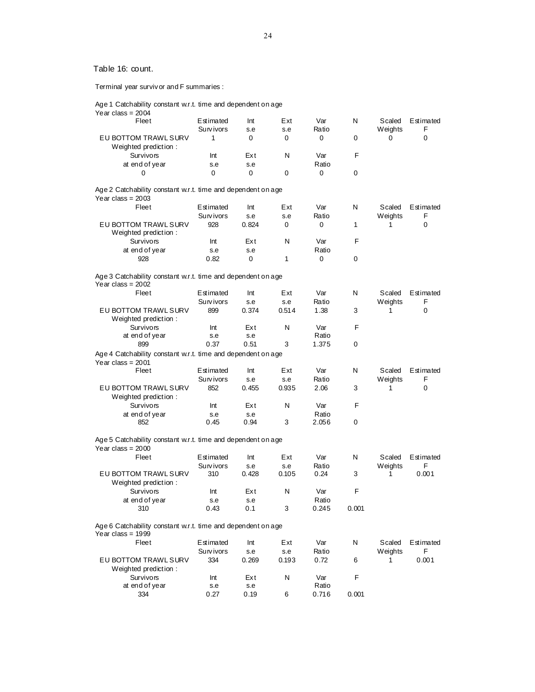Terminal year survivor and F summaries :

Age 1 Catchability constant w.r.t. time and dependent on age

| N<br>Fleet<br>Estimated<br>Int<br>Ext<br>Var<br>Scaled<br>Estimated<br>F<br>Survivors<br>Ratio<br>Weights<br>s.e<br>s.e<br>EU BOTTOM TRAWL SURV<br>0<br>1<br>0<br>0<br>0<br>0<br>0<br>Weighted prediction:<br>F<br><b>Survivors</b><br>N<br>Var<br>Ext<br>Int<br>at end of year<br>Ratio<br>s.e<br>s.e<br>0<br>0<br>0<br>0<br>0<br>0<br>Age 2 Catchability constant w.r.t. time and dependent on age<br>Year class = $2003$<br>Fleet<br>Var<br>N<br>Estimated<br>Int<br>Ext<br>Scaled<br>Estimated<br>Weights<br>F<br>Survivors<br>Ratio<br>s.e<br>s.e<br>EU BOTTOM TRAWL SURV<br>928<br>0.824<br>0<br>1<br>0<br>0<br>1<br>Weighted prediction:<br>Survivors<br>N<br>F<br>Int<br>Ext<br>Var<br>at end of year<br>Ratio<br>s.e<br>s.e<br>0.82<br>0<br>1<br>0<br>928<br>0<br>Age 3 Catchability constant w.r.t. time and dependent on age<br>Year class = $2002$<br>Fleet<br>Estimated<br>Ext<br>Var<br>N<br>Estimated<br>Int<br>Scaled<br>Ratio<br>F<br>Survivors<br>s.e<br>s.e<br>Weights<br>EU BOTTOM TRAWL SURV<br>899<br>0.514<br>1.38<br>3<br>0.374<br>0<br>1<br>Weighted prediction:<br><b>Survivors</b><br>N<br>Var<br>F<br>Int<br>Ext<br>at end of year<br>Ratio<br>s.e<br>s.e<br>0.51<br>3<br>0<br>899<br>0.37<br>1.375<br>Age 4 Catchability constant w.r.t. time and dependent on age<br>Year class = $2001$<br>Fleet<br>Var<br>N<br>Estimated<br>Int<br>Ext<br>Scaled<br>Estimated<br>Weights<br>F<br>Survivors<br>Ratio<br>s.e<br>s.e<br>852<br>EU BOTTOM TRAWL SURV<br>0.455<br>0.935<br>2.06<br>3<br>0<br>1<br>Weighted prediction:<br><b>Survivors</b><br>N<br>Var<br>F<br>Int<br>Ext<br>at end of year<br>Ratio<br>s.e<br>s.e<br>0.94<br>3<br>0<br>852<br>0.45<br>2.056<br>Age 5 Catchability constant w.r.t. time and dependent on age<br>Year class = $2000$<br>N<br>Fleet<br>Ext<br>Var<br>Estimated<br>Estimated<br>Int<br>Scaled<br>F<br>Survivors<br>Ratio<br>Weights<br>s.e<br>s.e<br>EU BOTTOM TRAWL SURV<br>0.001<br>310<br>0.428<br>0.105<br>0.24<br>3<br>1<br>Weighted prediction:<br>N<br>F<br><b>Survivors</b><br>Int<br>Ext<br>Var<br>at end of year<br>Ratio<br>s.e<br>s.e<br>0.43<br>0.1<br>3<br>0.245<br>0.001<br>310<br>Age 6 Catchability constant w.r.t. time and dependent on age<br>Year class = $1999$<br>Fleet<br>Var<br>N<br>Estimated<br>Ext<br>Scaled<br>Estimated<br>Int<br>F<br>Survivors<br>Ratio<br>Weights<br>s.e<br>s.e<br>EU BOTTOM TRAWL SURV<br>334<br>0.193<br>0.72<br>0.001<br>0.269<br>6<br>1<br>Weighted prediction:<br>F<br>Survivors<br>N<br>Var<br>Int<br>Ext<br>at end of year<br>Ratio<br>s.e<br>s.e<br>334<br>0.27<br>0.19<br>6<br>0.716<br>0.001 | Year class = 2004 |  |  |  |  |
|-----------------------------------------------------------------------------------------------------------------------------------------------------------------------------------------------------------------------------------------------------------------------------------------------------------------------------------------------------------------------------------------------------------------------------------------------------------------------------------------------------------------------------------------------------------------------------------------------------------------------------------------------------------------------------------------------------------------------------------------------------------------------------------------------------------------------------------------------------------------------------------------------------------------------------------------------------------------------------------------------------------------------------------------------------------------------------------------------------------------------------------------------------------------------------------------------------------------------------------------------------------------------------------------------------------------------------------------------------------------------------------------------------------------------------------------------------------------------------------------------------------------------------------------------------------------------------------------------------------------------------------------------------------------------------------------------------------------------------------------------------------------------------------------------------------------------------------------------------------------------------------------------------------------------------------------------------------------------------------------------------------------------------------------------------------------------------------------------------------------------------------------------------------------------------------------------------------------------------------------------------------------------------------------------------------------------------------------------------------------------------------------------------------------------------------------------------------------------------------------------------------------------------------------------------------------------------------------------------------------|-------------------|--|--|--|--|
|                                                                                                                                                                                                                                                                                                                                                                                                                                                                                                                                                                                                                                                                                                                                                                                                                                                                                                                                                                                                                                                                                                                                                                                                                                                                                                                                                                                                                                                                                                                                                                                                                                                                                                                                                                                                                                                                                                                                                                                                                                                                                                                                                                                                                                                                                                                                                                                                                                                                                                                                                                                                                 |                   |  |  |  |  |
|                                                                                                                                                                                                                                                                                                                                                                                                                                                                                                                                                                                                                                                                                                                                                                                                                                                                                                                                                                                                                                                                                                                                                                                                                                                                                                                                                                                                                                                                                                                                                                                                                                                                                                                                                                                                                                                                                                                                                                                                                                                                                                                                                                                                                                                                                                                                                                                                                                                                                                                                                                                                                 |                   |  |  |  |  |
|                                                                                                                                                                                                                                                                                                                                                                                                                                                                                                                                                                                                                                                                                                                                                                                                                                                                                                                                                                                                                                                                                                                                                                                                                                                                                                                                                                                                                                                                                                                                                                                                                                                                                                                                                                                                                                                                                                                                                                                                                                                                                                                                                                                                                                                                                                                                                                                                                                                                                                                                                                                                                 |                   |  |  |  |  |
|                                                                                                                                                                                                                                                                                                                                                                                                                                                                                                                                                                                                                                                                                                                                                                                                                                                                                                                                                                                                                                                                                                                                                                                                                                                                                                                                                                                                                                                                                                                                                                                                                                                                                                                                                                                                                                                                                                                                                                                                                                                                                                                                                                                                                                                                                                                                                                                                                                                                                                                                                                                                                 |                   |  |  |  |  |
|                                                                                                                                                                                                                                                                                                                                                                                                                                                                                                                                                                                                                                                                                                                                                                                                                                                                                                                                                                                                                                                                                                                                                                                                                                                                                                                                                                                                                                                                                                                                                                                                                                                                                                                                                                                                                                                                                                                                                                                                                                                                                                                                                                                                                                                                                                                                                                                                                                                                                                                                                                                                                 |                   |  |  |  |  |
|                                                                                                                                                                                                                                                                                                                                                                                                                                                                                                                                                                                                                                                                                                                                                                                                                                                                                                                                                                                                                                                                                                                                                                                                                                                                                                                                                                                                                                                                                                                                                                                                                                                                                                                                                                                                                                                                                                                                                                                                                                                                                                                                                                                                                                                                                                                                                                                                                                                                                                                                                                                                                 |                   |  |  |  |  |
|                                                                                                                                                                                                                                                                                                                                                                                                                                                                                                                                                                                                                                                                                                                                                                                                                                                                                                                                                                                                                                                                                                                                                                                                                                                                                                                                                                                                                                                                                                                                                                                                                                                                                                                                                                                                                                                                                                                                                                                                                                                                                                                                                                                                                                                                                                                                                                                                                                                                                                                                                                                                                 |                   |  |  |  |  |
|                                                                                                                                                                                                                                                                                                                                                                                                                                                                                                                                                                                                                                                                                                                                                                                                                                                                                                                                                                                                                                                                                                                                                                                                                                                                                                                                                                                                                                                                                                                                                                                                                                                                                                                                                                                                                                                                                                                                                                                                                                                                                                                                                                                                                                                                                                                                                                                                                                                                                                                                                                                                                 |                   |  |  |  |  |
|                                                                                                                                                                                                                                                                                                                                                                                                                                                                                                                                                                                                                                                                                                                                                                                                                                                                                                                                                                                                                                                                                                                                                                                                                                                                                                                                                                                                                                                                                                                                                                                                                                                                                                                                                                                                                                                                                                                                                                                                                                                                                                                                                                                                                                                                                                                                                                                                                                                                                                                                                                                                                 |                   |  |  |  |  |
|                                                                                                                                                                                                                                                                                                                                                                                                                                                                                                                                                                                                                                                                                                                                                                                                                                                                                                                                                                                                                                                                                                                                                                                                                                                                                                                                                                                                                                                                                                                                                                                                                                                                                                                                                                                                                                                                                                                                                                                                                                                                                                                                                                                                                                                                                                                                                                                                                                                                                                                                                                                                                 |                   |  |  |  |  |
|                                                                                                                                                                                                                                                                                                                                                                                                                                                                                                                                                                                                                                                                                                                                                                                                                                                                                                                                                                                                                                                                                                                                                                                                                                                                                                                                                                                                                                                                                                                                                                                                                                                                                                                                                                                                                                                                                                                                                                                                                                                                                                                                                                                                                                                                                                                                                                                                                                                                                                                                                                                                                 |                   |  |  |  |  |
|                                                                                                                                                                                                                                                                                                                                                                                                                                                                                                                                                                                                                                                                                                                                                                                                                                                                                                                                                                                                                                                                                                                                                                                                                                                                                                                                                                                                                                                                                                                                                                                                                                                                                                                                                                                                                                                                                                                                                                                                                                                                                                                                                                                                                                                                                                                                                                                                                                                                                                                                                                                                                 |                   |  |  |  |  |
|                                                                                                                                                                                                                                                                                                                                                                                                                                                                                                                                                                                                                                                                                                                                                                                                                                                                                                                                                                                                                                                                                                                                                                                                                                                                                                                                                                                                                                                                                                                                                                                                                                                                                                                                                                                                                                                                                                                                                                                                                                                                                                                                                                                                                                                                                                                                                                                                                                                                                                                                                                                                                 |                   |  |  |  |  |
|                                                                                                                                                                                                                                                                                                                                                                                                                                                                                                                                                                                                                                                                                                                                                                                                                                                                                                                                                                                                                                                                                                                                                                                                                                                                                                                                                                                                                                                                                                                                                                                                                                                                                                                                                                                                                                                                                                                                                                                                                                                                                                                                                                                                                                                                                                                                                                                                                                                                                                                                                                                                                 |                   |  |  |  |  |
|                                                                                                                                                                                                                                                                                                                                                                                                                                                                                                                                                                                                                                                                                                                                                                                                                                                                                                                                                                                                                                                                                                                                                                                                                                                                                                                                                                                                                                                                                                                                                                                                                                                                                                                                                                                                                                                                                                                                                                                                                                                                                                                                                                                                                                                                                                                                                                                                                                                                                                                                                                                                                 |                   |  |  |  |  |
|                                                                                                                                                                                                                                                                                                                                                                                                                                                                                                                                                                                                                                                                                                                                                                                                                                                                                                                                                                                                                                                                                                                                                                                                                                                                                                                                                                                                                                                                                                                                                                                                                                                                                                                                                                                                                                                                                                                                                                                                                                                                                                                                                                                                                                                                                                                                                                                                                                                                                                                                                                                                                 |                   |  |  |  |  |
|                                                                                                                                                                                                                                                                                                                                                                                                                                                                                                                                                                                                                                                                                                                                                                                                                                                                                                                                                                                                                                                                                                                                                                                                                                                                                                                                                                                                                                                                                                                                                                                                                                                                                                                                                                                                                                                                                                                                                                                                                                                                                                                                                                                                                                                                                                                                                                                                                                                                                                                                                                                                                 |                   |  |  |  |  |
|                                                                                                                                                                                                                                                                                                                                                                                                                                                                                                                                                                                                                                                                                                                                                                                                                                                                                                                                                                                                                                                                                                                                                                                                                                                                                                                                                                                                                                                                                                                                                                                                                                                                                                                                                                                                                                                                                                                                                                                                                                                                                                                                                                                                                                                                                                                                                                                                                                                                                                                                                                                                                 |                   |  |  |  |  |
|                                                                                                                                                                                                                                                                                                                                                                                                                                                                                                                                                                                                                                                                                                                                                                                                                                                                                                                                                                                                                                                                                                                                                                                                                                                                                                                                                                                                                                                                                                                                                                                                                                                                                                                                                                                                                                                                                                                                                                                                                                                                                                                                                                                                                                                                                                                                                                                                                                                                                                                                                                                                                 |                   |  |  |  |  |
|                                                                                                                                                                                                                                                                                                                                                                                                                                                                                                                                                                                                                                                                                                                                                                                                                                                                                                                                                                                                                                                                                                                                                                                                                                                                                                                                                                                                                                                                                                                                                                                                                                                                                                                                                                                                                                                                                                                                                                                                                                                                                                                                                                                                                                                                                                                                                                                                                                                                                                                                                                                                                 |                   |  |  |  |  |
|                                                                                                                                                                                                                                                                                                                                                                                                                                                                                                                                                                                                                                                                                                                                                                                                                                                                                                                                                                                                                                                                                                                                                                                                                                                                                                                                                                                                                                                                                                                                                                                                                                                                                                                                                                                                                                                                                                                                                                                                                                                                                                                                                                                                                                                                                                                                                                                                                                                                                                                                                                                                                 |                   |  |  |  |  |
|                                                                                                                                                                                                                                                                                                                                                                                                                                                                                                                                                                                                                                                                                                                                                                                                                                                                                                                                                                                                                                                                                                                                                                                                                                                                                                                                                                                                                                                                                                                                                                                                                                                                                                                                                                                                                                                                                                                                                                                                                                                                                                                                                                                                                                                                                                                                                                                                                                                                                                                                                                                                                 |                   |  |  |  |  |
|                                                                                                                                                                                                                                                                                                                                                                                                                                                                                                                                                                                                                                                                                                                                                                                                                                                                                                                                                                                                                                                                                                                                                                                                                                                                                                                                                                                                                                                                                                                                                                                                                                                                                                                                                                                                                                                                                                                                                                                                                                                                                                                                                                                                                                                                                                                                                                                                                                                                                                                                                                                                                 |                   |  |  |  |  |
|                                                                                                                                                                                                                                                                                                                                                                                                                                                                                                                                                                                                                                                                                                                                                                                                                                                                                                                                                                                                                                                                                                                                                                                                                                                                                                                                                                                                                                                                                                                                                                                                                                                                                                                                                                                                                                                                                                                                                                                                                                                                                                                                                                                                                                                                                                                                                                                                                                                                                                                                                                                                                 |                   |  |  |  |  |
|                                                                                                                                                                                                                                                                                                                                                                                                                                                                                                                                                                                                                                                                                                                                                                                                                                                                                                                                                                                                                                                                                                                                                                                                                                                                                                                                                                                                                                                                                                                                                                                                                                                                                                                                                                                                                                                                                                                                                                                                                                                                                                                                                                                                                                                                                                                                                                                                                                                                                                                                                                                                                 |                   |  |  |  |  |
|                                                                                                                                                                                                                                                                                                                                                                                                                                                                                                                                                                                                                                                                                                                                                                                                                                                                                                                                                                                                                                                                                                                                                                                                                                                                                                                                                                                                                                                                                                                                                                                                                                                                                                                                                                                                                                                                                                                                                                                                                                                                                                                                                                                                                                                                                                                                                                                                                                                                                                                                                                                                                 |                   |  |  |  |  |
|                                                                                                                                                                                                                                                                                                                                                                                                                                                                                                                                                                                                                                                                                                                                                                                                                                                                                                                                                                                                                                                                                                                                                                                                                                                                                                                                                                                                                                                                                                                                                                                                                                                                                                                                                                                                                                                                                                                                                                                                                                                                                                                                                                                                                                                                                                                                                                                                                                                                                                                                                                                                                 |                   |  |  |  |  |
|                                                                                                                                                                                                                                                                                                                                                                                                                                                                                                                                                                                                                                                                                                                                                                                                                                                                                                                                                                                                                                                                                                                                                                                                                                                                                                                                                                                                                                                                                                                                                                                                                                                                                                                                                                                                                                                                                                                                                                                                                                                                                                                                                                                                                                                                                                                                                                                                                                                                                                                                                                                                                 |                   |  |  |  |  |
|                                                                                                                                                                                                                                                                                                                                                                                                                                                                                                                                                                                                                                                                                                                                                                                                                                                                                                                                                                                                                                                                                                                                                                                                                                                                                                                                                                                                                                                                                                                                                                                                                                                                                                                                                                                                                                                                                                                                                                                                                                                                                                                                                                                                                                                                                                                                                                                                                                                                                                                                                                                                                 |                   |  |  |  |  |
|                                                                                                                                                                                                                                                                                                                                                                                                                                                                                                                                                                                                                                                                                                                                                                                                                                                                                                                                                                                                                                                                                                                                                                                                                                                                                                                                                                                                                                                                                                                                                                                                                                                                                                                                                                                                                                                                                                                                                                                                                                                                                                                                                                                                                                                                                                                                                                                                                                                                                                                                                                                                                 |                   |  |  |  |  |
|                                                                                                                                                                                                                                                                                                                                                                                                                                                                                                                                                                                                                                                                                                                                                                                                                                                                                                                                                                                                                                                                                                                                                                                                                                                                                                                                                                                                                                                                                                                                                                                                                                                                                                                                                                                                                                                                                                                                                                                                                                                                                                                                                                                                                                                                                                                                                                                                                                                                                                                                                                                                                 |                   |  |  |  |  |
|                                                                                                                                                                                                                                                                                                                                                                                                                                                                                                                                                                                                                                                                                                                                                                                                                                                                                                                                                                                                                                                                                                                                                                                                                                                                                                                                                                                                                                                                                                                                                                                                                                                                                                                                                                                                                                                                                                                                                                                                                                                                                                                                                                                                                                                                                                                                                                                                                                                                                                                                                                                                                 |                   |  |  |  |  |
|                                                                                                                                                                                                                                                                                                                                                                                                                                                                                                                                                                                                                                                                                                                                                                                                                                                                                                                                                                                                                                                                                                                                                                                                                                                                                                                                                                                                                                                                                                                                                                                                                                                                                                                                                                                                                                                                                                                                                                                                                                                                                                                                                                                                                                                                                                                                                                                                                                                                                                                                                                                                                 |                   |  |  |  |  |
|                                                                                                                                                                                                                                                                                                                                                                                                                                                                                                                                                                                                                                                                                                                                                                                                                                                                                                                                                                                                                                                                                                                                                                                                                                                                                                                                                                                                                                                                                                                                                                                                                                                                                                                                                                                                                                                                                                                                                                                                                                                                                                                                                                                                                                                                                                                                                                                                                                                                                                                                                                                                                 |                   |  |  |  |  |
|                                                                                                                                                                                                                                                                                                                                                                                                                                                                                                                                                                                                                                                                                                                                                                                                                                                                                                                                                                                                                                                                                                                                                                                                                                                                                                                                                                                                                                                                                                                                                                                                                                                                                                                                                                                                                                                                                                                                                                                                                                                                                                                                                                                                                                                                                                                                                                                                                                                                                                                                                                                                                 |                   |  |  |  |  |
|                                                                                                                                                                                                                                                                                                                                                                                                                                                                                                                                                                                                                                                                                                                                                                                                                                                                                                                                                                                                                                                                                                                                                                                                                                                                                                                                                                                                                                                                                                                                                                                                                                                                                                                                                                                                                                                                                                                                                                                                                                                                                                                                                                                                                                                                                                                                                                                                                                                                                                                                                                                                                 |                   |  |  |  |  |
|                                                                                                                                                                                                                                                                                                                                                                                                                                                                                                                                                                                                                                                                                                                                                                                                                                                                                                                                                                                                                                                                                                                                                                                                                                                                                                                                                                                                                                                                                                                                                                                                                                                                                                                                                                                                                                                                                                                                                                                                                                                                                                                                                                                                                                                                                                                                                                                                                                                                                                                                                                                                                 |                   |  |  |  |  |
|                                                                                                                                                                                                                                                                                                                                                                                                                                                                                                                                                                                                                                                                                                                                                                                                                                                                                                                                                                                                                                                                                                                                                                                                                                                                                                                                                                                                                                                                                                                                                                                                                                                                                                                                                                                                                                                                                                                                                                                                                                                                                                                                                                                                                                                                                                                                                                                                                                                                                                                                                                                                                 |                   |  |  |  |  |
|                                                                                                                                                                                                                                                                                                                                                                                                                                                                                                                                                                                                                                                                                                                                                                                                                                                                                                                                                                                                                                                                                                                                                                                                                                                                                                                                                                                                                                                                                                                                                                                                                                                                                                                                                                                                                                                                                                                                                                                                                                                                                                                                                                                                                                                                                                                                                                                                                                                                                                                                                                                                                 |                   |  |  |  |  |
|                                                                                                                                                                                                                                                                                                                                                                                                                                                                                                                                                                                                                                                                                                                                                                                                                                                                                                                                                                                                                                                                                                                                                                                                                                                                                                                                                                                                                                                                                                                                                                                                                                                                                                                                                                                                                                                                                                                                                                                                                                                                                                                                                                                                                                                                                                                                                                                                                                                                                                                                                                                                                 |                   |  |  |  |  |
|                                                                                                                                                                                                                                                                                                                                                                                                                                                                                                                                                                                                                                                                                                                                                                                                                                                                                                                                                                                                                                                                                                                                                                                                                                                                                                                                                                                                                                                                                                                                                                                                                                                                                                                                                                                                                                                                                                                                                                                                                                                                                                                                                                                                                                                                                                                                                                                                                                                                                                                                                                                                                 |                   |  |  |  |  |
|                                                                                                                                                                                                                                                                                                                                                                                                                                                                                                                                                                                                                                                                                                                                                                                                                                                                                                                                                                                                                                                                                                                                                                                                                                                                                                                                                                                                                                                                                                                                                                                                                                                                                                                                                                                                                                                                                                                                                                                                                                                                                                                                                                                                                                                                                                                                                                                                                                                                                                                                                                                                                 |                   |  |  |  |  |
|                                                                                                                                                                                                                                                                                                                                                                                                                                                                                                                                                                                                                                                                                                                                                                                                                                                                                                                                                                                                                                                                                                                                                                                                                                                                                                                                                                                                                                                                                                                                                                                                                                                                                                                                                                                                                                                                                                                                                                                                                                                                                                                                                                                                                                                                                                                                                                                                                                                                                                                                                                                                                 |                   |  |  |  |  |
|                                                                                                                                                                                                                                                                                                                                                                                                                                                                                                                                                                                                                                                                                                                                                                                                                                                                                                                                                                                                                                                                                                                                                                                                                                                                                                                                                                                                                                                                                                                                                                                                                                                                                                                                                                                                                                                                                                                                                                                                                                                                                                                                                                                                                                                                                                                                                                                                                                                                                                                                                                                                                 |                   |  |  |  |  |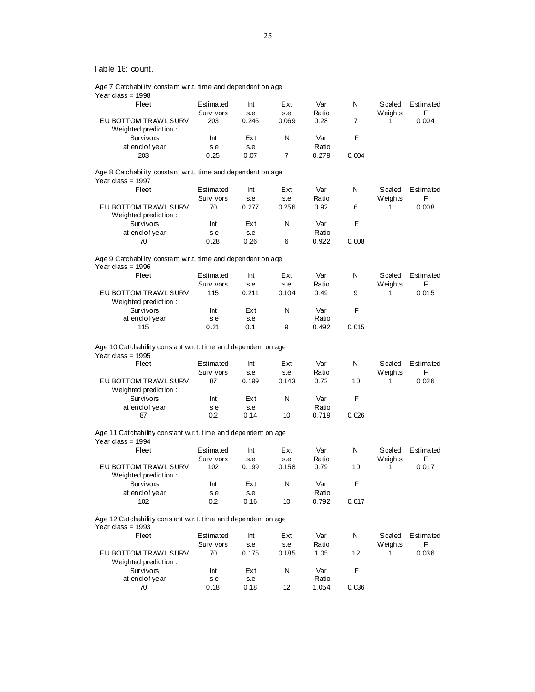| Age 7 Catchability constant w.r.t. time and dependent on age<br>Year class = $1998$           |           |       |       |       |                |         |           |
|-----------------------------------------------------------------------------------------------|-----------|-------|-------|-------|----------------|---------|-----------|
| Fleet                                                                                         | Estimated | Int   | Ext   | Var   | N              | Scaled  | Estimated |
|                                                                                               | Survivors | s.e   | s.e   | Ratio |                | Weights | F         |
| EU BOTTOM TRAWL SURV<br>Weighted prediction:                                                  | 203       | 0.246 | 0.069 | 0.28  | $\overline{7}$ | 1       | 0.004     |
| <b>Survivors</b>                                                                              | Int       | Ext   | N     | Var   | F              |         |           |
| at end of year                                                                                | s.e       | s.e   |       | Ratio |                |         |           |
| 203                                                                                           | 0.25      | 0.07  | 7     | 0.279 | 0.004          |         |           |
|                                                                                               |           |       |       |       |                |         |           |
| Age 8 Catchability constant w.r.t. time and dependent on age<br>Year class = $1997$           |           |       |       |       |                |         |           |
| Fleet                                                                                         | Estimated | Int   | Ext   | Var   | N              | Scaled  | Estimated |
|                                                                                               | Survivors | s.e   | s.e   | Ratio |                | Weights | F         |
| EU BOTTOM TRAWL SURV                                                                          | 70        | 0.277 | 0.256 | 0.92  | 6              | 1       | 0.008     |
| Weighted prediction:                                                                          |           |       |       |       |                |         |           |
| <b>Survivors</b>                                                                              | Int       | Ext   | N     | Var   | F              |         |           |
| at end of year                                                                                | s.e       | s.e   |       | Ratio |                |         |           |
|                                                                                               |           |       |       |       |                |         |           |
| 70                                                                                            | 0.28      | 0.26  | 6     | 0.922 | 0.008          |         |           |
| Age 9 Catchability constant w.r.t. time and dependent on age<br>Year class = $1996$           |           |       |       |       |                |         |           |
| Fleet                                                                                         | Estimated | Int   | Ext   | Var   | N              | Scaled  | Estimated |
|                                                                                               |           |       |       |       |                |         | F         |
|                                                                                               | Survivors | s.e   | s.e   | Ratio |                | Weights |           |
| EU BOTTOM TRAWL SURV                                                                          | 115       | 0.211 | 0.104 | 0.49  | 9              | 1       | 0.015     |
| Weighted prediction:                                                                          |           |       |       |       |                |         |           |
| <b>Survivors</b>                                                                              | Int       | Ext   | N     | Var   | F              |         |           |
| at end of year                                                                                | s.e       | s.e   |       | Ratio |                |         |           |
| 115                                                                                           | 0.21      | 0.1   | 9     | 0.492 | 0.015          |         |           |
| Age 10 Catchability constant w.r.t. time and dependent on age<br>Year class = $1995$<br>Fleet | Estimated | Int   | Ext   | Var   | N              | Scaled  | Estimated |
|                                                                                               |           |       |       |       |                |         | F         |
|                                                                                               | Survivors | s.e   | s.e   | Ratio |                | Weights |           |
| EU BOTTOM TRAWL SURV                                                                          | 87        | 0.199 | 0.143 | 0.72  | 10             | 1       | 0.026     |
| Weighted prediction:                                                                          |           |       |       |       |                |         |           |
| <b>Survivors</b>                                                                              | Int       | Ext   | N     | Var   | F              |         |           |
| at end of year                                                                                | s.e       | s.e   |       | Ratio |                |         |           |
| 87                                                                                            | 0.2       | 0.14  | 10    | 0.719 | 0.026          |         |           |
| Age 11 Catchability constant w.r.t. time and dependent on age<br>Year class = $1994$          |           |       |       |       |                |         |           |
| Fleet                                                                                         | Estimated |       | Ext   | Var   | N              |         | Estimated |
|                                                                                               |           | Int   |       |       |                | Scaled  |           |
|                                                                                               | Survivors | s.e   | s.e   | Ratio |                | Weights | F         |
| EU BOTTOM TRAWL SURV                                                                          | 102       | 0.199 | 0.158 | 0.79  | 10             | 1       | 0.017     |
| Weighted prediction:                                                                          |           |       |       |       |                |         |           |
| Survivors                                                                                     | Int       | Ext   | N     | Var   | F              |         |           |
| at end of year                                                                                | s.e       | s.e   |       | Ratio |                |         |           |
| 102                                                                                           | $0.2\,$   | 0.16  | 10    | 0.792 | 0.017          |         |           |
| Age 12 Catchability constant w.r.t. time and dependent on age<br>Year class = $1993$          |           |       |       |       |                |         |           |
|                                                                                               |           |       |       |       |                |         |           |
| Fleet                                                                                         | Estimated | Int   | Ext   | Var   | Ν              | Scaled  | Estimated |
|                                                                                               | Survivors | s.e   | s.e   | Ratio |                | Weights | F         |
| EU BOTTOM TRAWL SURV                                                                          | 70        | 0.175 | 0.185 | 1.05  | 12             | 1       | 0.036     |
| Weighted prediction:                                                                          |           |       |       |       |                |         |           |
| Survivors                                                                                     | Int       | Ext   | N     | Var   | F              |         |           |
| at end of year                                                                                | s.e       | s.e   |       | Ratio |                |         |           |
| 70                                                                                            | 0.18      | 0.18  | 12    | 1.054 | 0.036          |         |           |
|                                                                                               |           |       |       |       |                |         |           |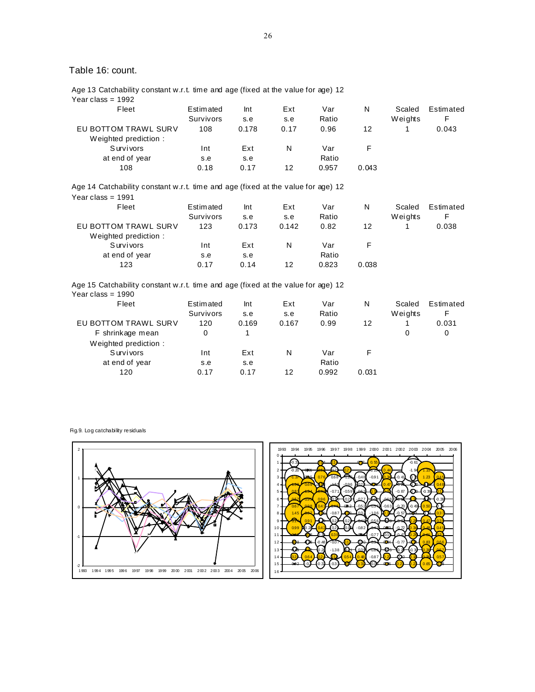Age 13 Catchability constant w.r.t. time and age (fixed at the value for age) 12 Year class = 1992

| Fleet                                        | Estimated<br>Survivors | Int<br>s.e | Ext<br>s.e | Var<br>Ratio | N     | Scaled<br>Weights | Estimated<br>F |
|----------------------------------------------|------------------------|------------|------------|--------------|-------|-------------------|----------------|
| EU BOTTOM TRAWL SURV<br>Weighted prediction: | 108                    | 0.178      | 0.17       | 0.96         | 12    |                   | 0.043          |
| <b>Survivors</b>                             | Int                    | Ext        | N          | Var          |       |                   |                |
| at end of year                               | s.e                    | s.e        |            | Ratio        |       |                   |                |
| 108                                          | 0.18                   | 0.17       | 12         | 0.957        | 0.043 |                   |                |

Age 14 Catchability constant w.r.t. time and age (fixed at the value for age) 12 Year class = 1991

| Fleet                | Estimated | Int   | Ext   | Var   | N     | Scaled  | Estimated |
|----------------------|-----------|-------|-------|-------|-------|---------|-----------|
|                      | Survivors | s.e   | s.e   | Ratio |       | Weights |           |
| EU BOTTOM TRAWL SURV | 123       | 0.173 | 0.142 | 0.82  | 12    |         | 0.038     |
| Weighted prediction: |           |       |       |       |       |         |           |
| <b>Survivors</b>     | Int       | Ext   | N     | Var   |       |         |           |
| at end of year       | s.e       | s.e   |       | Ratio |       |         |           |
| 123                  | 0.17      | 0.14  | 12    | 0.823 | 0.038 |         |           |
|                      |           |       |       |       |       |         |           |

Age 15 Catchability constant w.r.t. time and age (fixed at the value for age) 12 Year class =  $1990$ 

| Fleet                | Estimated | Int   | Ext   | Var   | N     | Scaled  | Estimated |
|----------------------|-----------|-------|-------|-------|-------|---------|-----------|
|                      | Survivors | s.e   | s.e   | Ratio |       | Weights | F         |
| EU BOTTOM TRAWL SURV | 120       | 0.169 | 0.167 | 0.99  | 12    |         | 0.031     |
| F shrinkage mean     | 0         |       |       |       |       | 0       | 0         |
| Weighted prediction: |           |       |       |       |       |         |           |
| <b>Survivors</b>     | Int       | Ext   | N     | Var   |       |         |           |
| at end of year       | s.e       | s.e   |       | Ratio |       |         |           |
| 120                  | 0.17      | 0.17  | 12    | 0.992 | 0.031 |         |           |

Fig.9. Log catchability residuals

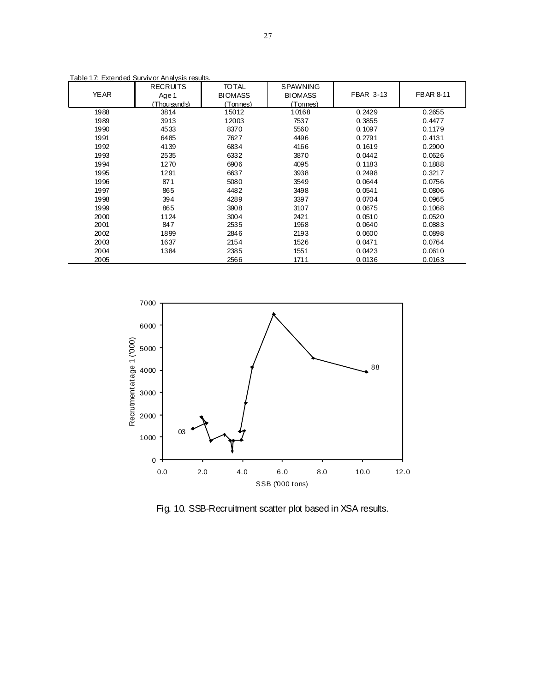|             | Table 17: Extended Survivor Analysis results. |                                             |                                               |                  |                  |
|-------------|-----------------------------------------------|---------------------------------------------|-----------------------------------------------|------------------|------------------|
| <b>YEAR</b> | <b>RECRUITS</b><br>Age 1<br>Thousands)        | <b>TO TAL</b><br><b>BIOMASS</b><br>(Tonnes) | <b>SPAWNING</b><br><b>BIOMASS</b><br>(Tonnes) | <b>FBAR 3-13</b> | <b>FBAR 8-11</b> |
| 1988        | 3814                                          | 15012                                       | 10168                                         | 0.2429           | 0.2655           |
| 1989        | 3913                                          | 12003                                       | 7537                                          | 0.3855           | 0.4477           |
| 1990        | 4533                                          | 8370                                        | 5560                                          | 0.1097           | 0.1179           |
| 1991        | 6485                                          | 7627                                        | 4496                                          | 0.2791           | 0.4131           |
| 1992        | 4139                                          | 6834                                        | 4166                                          | 0.1619           | 0.2900           |
| 1993        | 2535                                          | 6332                                        | 3870                                          | 0.0442           | 0.0626           |
| 1994        | 1270                                          | 6906                                        | 4095                                          | 0.1183           | 0.1888           |
| 1995        | 1291                                          | 6637                                        | 3938                                          | 0.2498           | 0.3217           |
| 1996        | 871                                           | 5080                                        | 3549                                          | 0.0644           | 0.0756           |
| 1997        | 865                                           | 4482                                        | 3498                                          | 0.0541           | 0.0806           |
| 1998        | 394                                           | 4289                                        | 3397                                          | 0.0704           | 0.0965           |
| 1999        | 865                                           | 3908                                        | 3107                                          | 0.0675           | 0.1068           |
| 2000        | 1124                                          | 3004                                        | 2421                                          | 0.0510           | 0.0520           |
| 2001        | 847                                           | 2535                                        | 1968                                          | 0.0640           | 0.0883           |
| 2002        | 1899                                          | 2846                                        | 2193                                          | 0.0600           | 0.0898           |
| 2003        | 1637                                          | 2154                                        | 1526                                          | 0.0471           | 0.0764           |
| 2004        | 1384                                          | 2385                                        | 1551                                          | 0.0423           | 0.0610           |
| 2005        |                                               | 2566                                        | 1711                                          | 0.0136           | 0.0163           |



Fig. 10. SSB-Recruitment scatter plot based in XSA results.